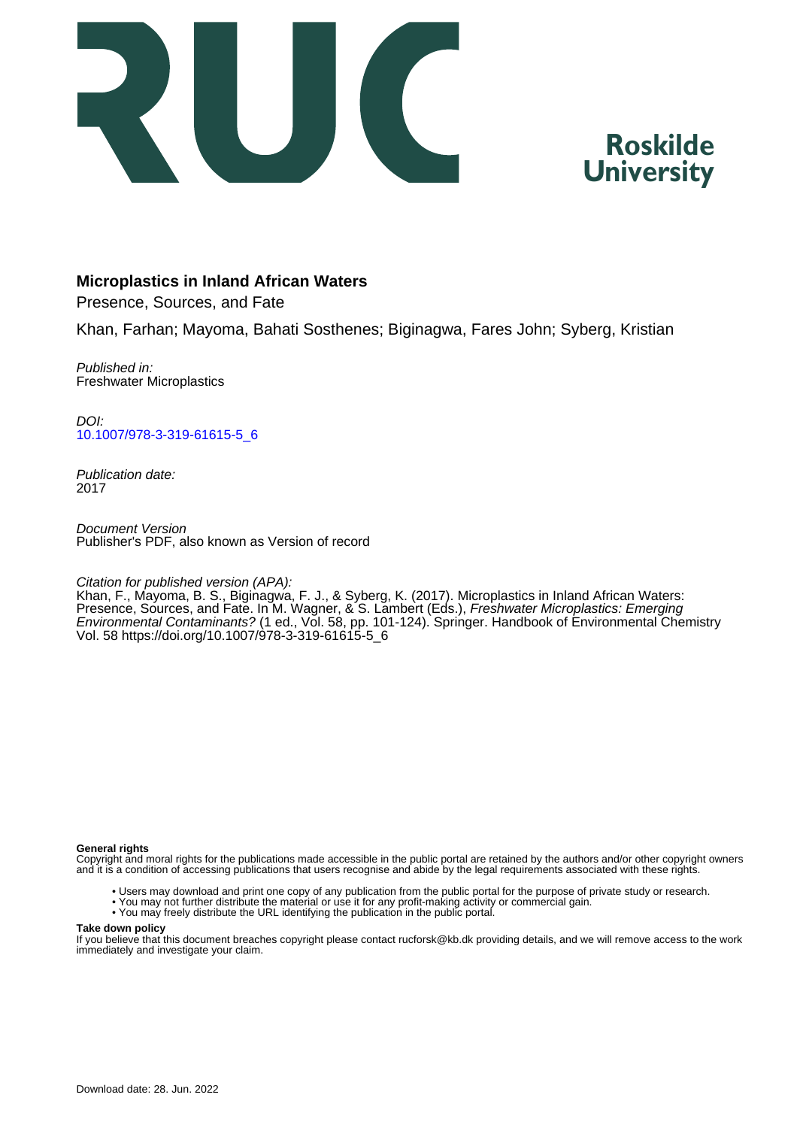



# **Microplastics in Inland African Waters**

Presence, Sources, and Fate

Khan, Farhan; Mayoma, Bahati Sosthenes; Biginagwa, Fares John; Syberg, Kristian

Published in: Freshwater Microplastics

DOI: [10.1007/978-3-319-61615-5\\_6](https://doi.org/10.1007/978-3-319-61615-5_6)

Publication date: 2017

Document Version Publisher's PDF, also known as Version of record

# Citation for published version (APA):

Khan, F., Mayoma, B. S., Biginagwa, F. J., & Syberg, K. (2017). Microplastics in Inland African Waters: Presence, Sources, and Fate. In M. Wagner, & S. Lambert (Eds.), *Freshwater Microplastics: Emerging* Environmental Contaminants? (1 ed., Vol. 58, pp. 101-124). Springer. Handbook of Environmental Chemistry Vol. 58 [https://doi.org/10.1007/978-3-319-61615-5\\_6](https://doi.org/10.1007/978-3-319-61615-5_6)

#### **General rights**

Copyright and moral rights for the publications made accessible in the public portal are retained by the authors and/or other copyright owners and it is a condition of accessing publications that users recognise and abide by the legal requirements associated with these rights.

- Users may download and print one copy of any publication from the public portal for the purpose of private study or research.
- You may not further distribute the material or use it for any profit-making activity or commercial gain.
- You may freely distribute the URL identifying the publication in the public portal.

#### **Take down policy**

If you believe that this document breaches copyright please contact rucforsk@kb.dk providing details, and we will remove access to the work immediately and investigate your claim.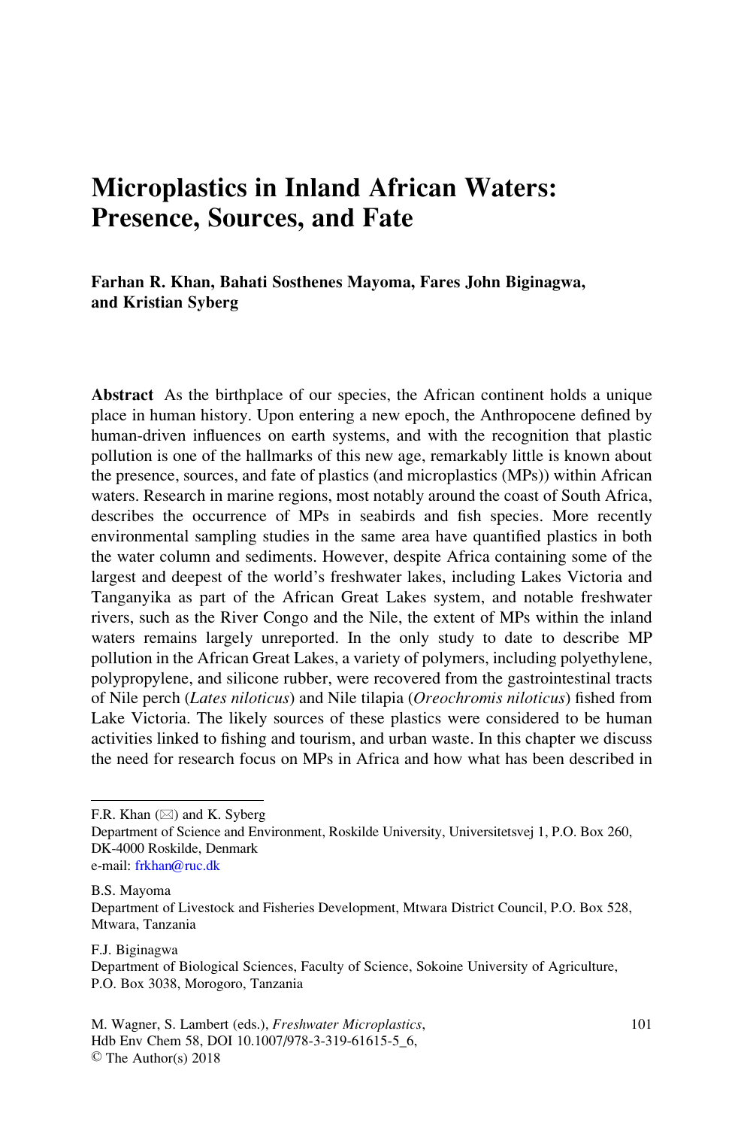# Microplastics in Inland African Waters: Presence, Sources, and Fate

Farhan R. Khan, Bahati Sosthenes Mayoma, Fares John Biginagwa, and Kristian Syberg

Abstract As the birthplace of our species, the African continent holds a unique place in human history. Upon entering a new epoch, the Anthropocene defined by human-driven influences on earth systems, and with the recognition that plastic pollution is one of the hallmarks of this new age, remarkably little is known about the presence, sources, and fate of plastics (and microplastics (MPs)) within African waters. Research in marine regions, most notably around the coast of South Africa, describes the occurrence of MPs in seabirds and fish species. More recently environmental sampling studies in the same area have quantified plastics in both the water column and sediments. However, despite Africa containing some of the largest and deepest of the world's freshwater lakes, including Lakes Victoria and Tanganyika as part of the African Great Lakes system, and notable freshwater rivers, such as the River Congo and the Nile, the extent of MPs within the inland waters remains largely unreported. In the only study to date to describe MP pollution in the African Great Lakes, a variety of polymers, including polyethylene, polypropylene, and silicone rubber, were recovered from the gastrointestinal tracts of Nile perch (Lates niloticus) and Nile tilapia (Oreochromis niloticus) fished from Lake Victoria. The likely sources of these plastics were considered to be human activities linked to fishing and tourism, and urban waste. In this chapter we discuss the need for research focus on MPs in Africa and how what has been described in

F.R. Khan  $(\boxtimes)$  and K. Syberg

Department of Science and Environment, Roskilde University, Universitetsvej 1, P.O. Box 260, DK-4000 Roskilde, Denmark e-mail: [frkhan@ruc.dk](mailto:frkhan@ruc.dk)

B.S. Mayoma

F.J. Biginagwa Department of Biological Sciences, Faculty of Science, Sokoine University of Agriculture, P.O. Box 3038, Morogoro, Tanzania

M. Wagner, S. Lambert (eds.), Freshwater Microplastics, Hdb Env Chem 58, DOI 10.1007/978-3-319-61615-5\_6, © The Author(s) 2018

Department of Livestock and Fisheries Development, Mtwara District Council, P.O. Box 528, Mtwara, Tanzania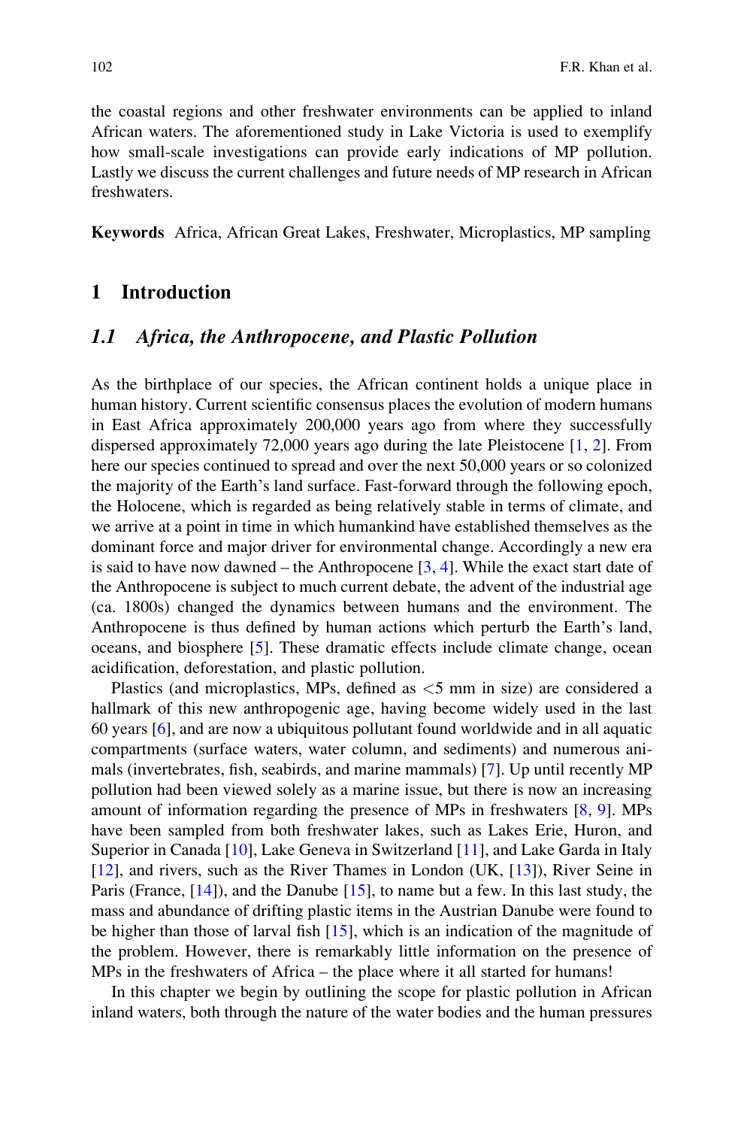the coastal regions and other freshwater environments can be applied to inland African waters. The aforementioned study in Lake Victoria is used to exemplify how small-scale investigations can provide early indications of MP pollution. Lastly we discuss the current challenges and future needs of MP research in African freshwaters.

Keywords Africa, African Great Lakes, Freshwater, Microplastics, MP sampling

# 1 Introduction

#### 1.1 Africa, the Anthropocene, and Plastic Pollution

As the birthplace of our species, the African continent holds a unique place in human history. Current scientific consensus places the evolution of modern humans in East Africa approximately 200,000 years ago from where they successfully dispersed approximately 72,000 years ago during the late Pleistocene [[1,](#page-20-0) [2](#page-20-1)]. From here our species continued to spread and over the next 50,000 years or so colonized the majority of the Earth's land surface. Fast-forward through the following epoch, the Holocene, which is regarded as being relatively stable in terms of climate, and we arrive at a point in time in which humankind have established themselves as the dominant force and major driver for environmental change. Accordingly a new era is said to have now dawned – the Anthropocene  $[3, 4]$  $[3, 4]$  $[3, 4]$  $[3, 4]$ . While the exact start date of the Anthropocene is subject to much current debate, the advent of the industrial age (ca. 1800s) changed the dynamics between humans and the environment. The Anthropocene is thus defined by human actions which perturb the Earth's land, oceans, and biosphere [[5\]](#page-20-4). These dramatic effects include climate change, ocean acidification, deforestation, and plastic pollution.

Plastics (and microplastics, MPs, defined as  $\leq$ 5 mm in size) are considered a hallmark of this new anthropogenic age, having become widely used in the last 60 years [[6\]](#page-20-5), and are now a ubiquitous pollutant found worldwide and in all aquatic compartments (surface waters, water column, and sediments) and numerous animals (invertebrates, fish, seabirds, and marine mammals) [[7\]](#page-20-6). Up until recently MP pollution had been viewed solely as a marine issue, but there is now an increasing amount of information regarding the presence of MPs in freshwaters [\[8](#page-20-7), [9](#page-20-8)]. MPs have been sampled from both freshwater lakes, such as Lakes Erie, Huron, and Superior in Canada [\[10](#page-20-9)], Lake Geneva in Switzerland [\[11](#page-20-10)], and Lake Garda in Italy [\[12](#page-20-11)], and rivers, such as the River Thames in London (UK, [\[13](#page-21-0)]), River Seine in Paris (France, [\[14](#page-21-1)]), and the Danube [\[15](#page-21-2)], to name but a few. In this last study, the mass and abundance of drifting plastic items in the Austrian Danube were found to be higher than those of larval fish [[15\]](#page-21-2), which is an indication of the magnitude of the problem. However, there is remarkably little information on the presence of MPs in the freshwaters of Africa – the place where it all started for humans!

In this chapter we begin by outlining the scope for plastic pollution in African inland waters, both through the nature of the water bodies and the human pressures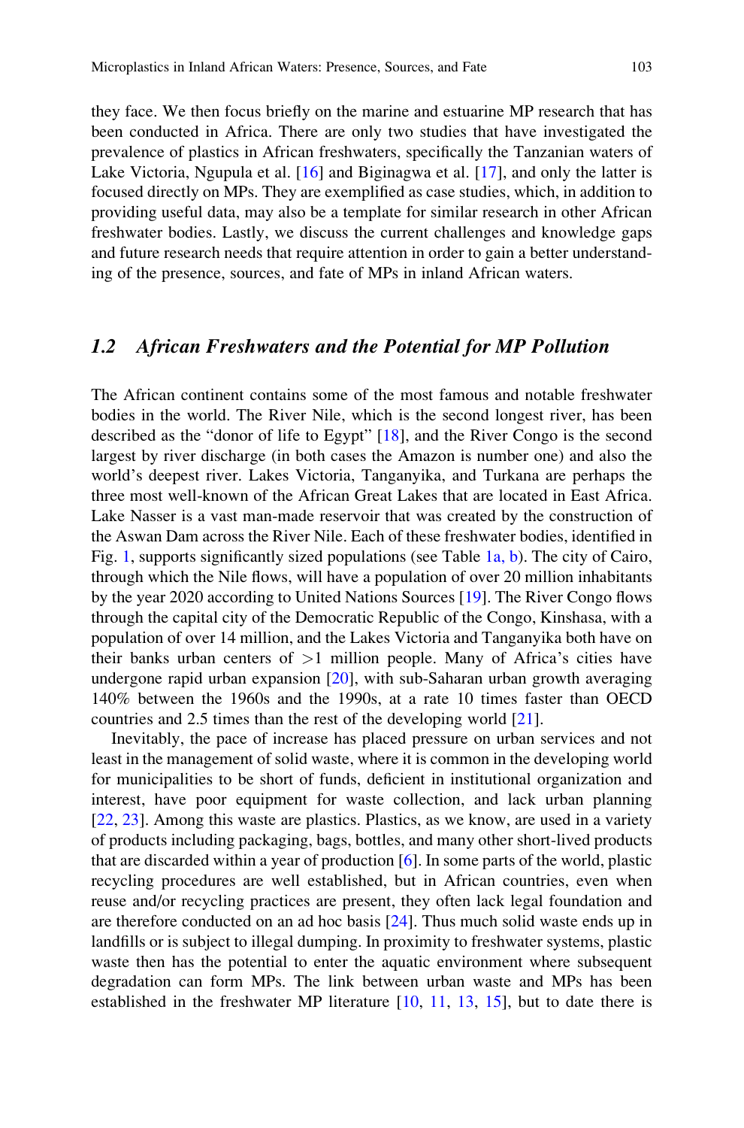they face. We then focus briefly on the marine and estuarine MP research that has been conducted in Africa. There are only two studies that have investigated the prevalence of plastics in African freshwaters, specifically the Tanzanian waters of Lake Victoria, Ngupula et al. [\[16](#page-21-3)] and Biginagwa et al. [[17\]](#page-21-4), and only the latter is focused directly on MPs. They are exemplified as case studies, which, in addition to providing useful data, may also be a template for similar research in other African freshwater bodies. Lastly, we discuss the current challenges and knowledge gaps and future research needs that require attention in order to gain a better understanding of the presence, sources, and fate of MPs in inland African waters.

### 1.2 African Freshwaters and the Potential for MP Pollution

The African continent contains some of the most famous and notable freshwater bodies in the world. The River Nile, which is the second longest river, has been described as the "donor of life to Egypt" [\[18](#page-21-5)], and the River Congo is the second largest by river discharge (in both cases the Amazon is number one) and also the world's deepest river. Lakes Victoria, Tanganyika, and Turkana are perhaps the three most well-known of the African Great Lakes that are located in East Africa. Lake Nasser is a vast man-made reservoir that was created by the construction of the Aswan Dam across the River Nile. Each of these freshwater bodies, identified in Fig. [1](#page-4-0), supports significantly sized populations (see Table [1a, b](#page-5-0)). The city of Cairo, through which the Nile flows, will have a population of over 20 million inhabitants by the year 2020 according to United Nations Sources [[19\]](#page-21-6). The River Congo flows through the capital city of the Democratic Republic of the Congo, Kinshasa, with a population of over 14 million, and the Lakes Victoria and Tanganyika both have on their banks urban centers of  $>1$  million people. Many of Africa's cities have undergone rapid urban expansion  $[20]$  $[20]$ , with sub-Saharan urban growth averaging 140% between the 1960s and the 1990s, at a rate 10 times faster than OECD countries and 2.5 times than the rest of the developing world [[21\]](#page-21-8).

Inevitably, the pace of increase has placed pressure on urban services and not least in the management of solid waste, where it is common in the developing world for municipalities to be short of funds, deficient in institutional organization and interest, have poor equipment for waste collection, and lack urban planning [\[22](#page-21-9), [23](#page-21-10)]. Among this waste are plastics. Plastics, as we know, are used in a variety of products including packaging, bags, bottles, and many other short-lived products that are discarded within a year of production [[6\]](#page-20-5). In some parts of the world, plastic recycling procedures are well established, but in African countries, even when reuse and/or recycling practices are present, they often lack legal foundation and are therefore conducted on an ad hoc basis [[24\]](#page-21-11). Thus much solid waste ends up in landfills or is subject to illegal dumping. In proximity to freshwater systems, plastic waste then has the potential to enter the aquatic environment where subsequent degradation can form MPs. The link between urban waste and MPs has been established in the freshwater MP literature  $[10, 11, 13, 15]$  $[10, 11, 13, 15]$  $[10, 11, 13, 15]$  $[10, 11, 13, 15]$  $[10, 11, 13, 15]$  $[10, 11, 13, 15]$  $[10, 11, 13, 15]$  $[10, 11, 13, 15]$ , but to date there is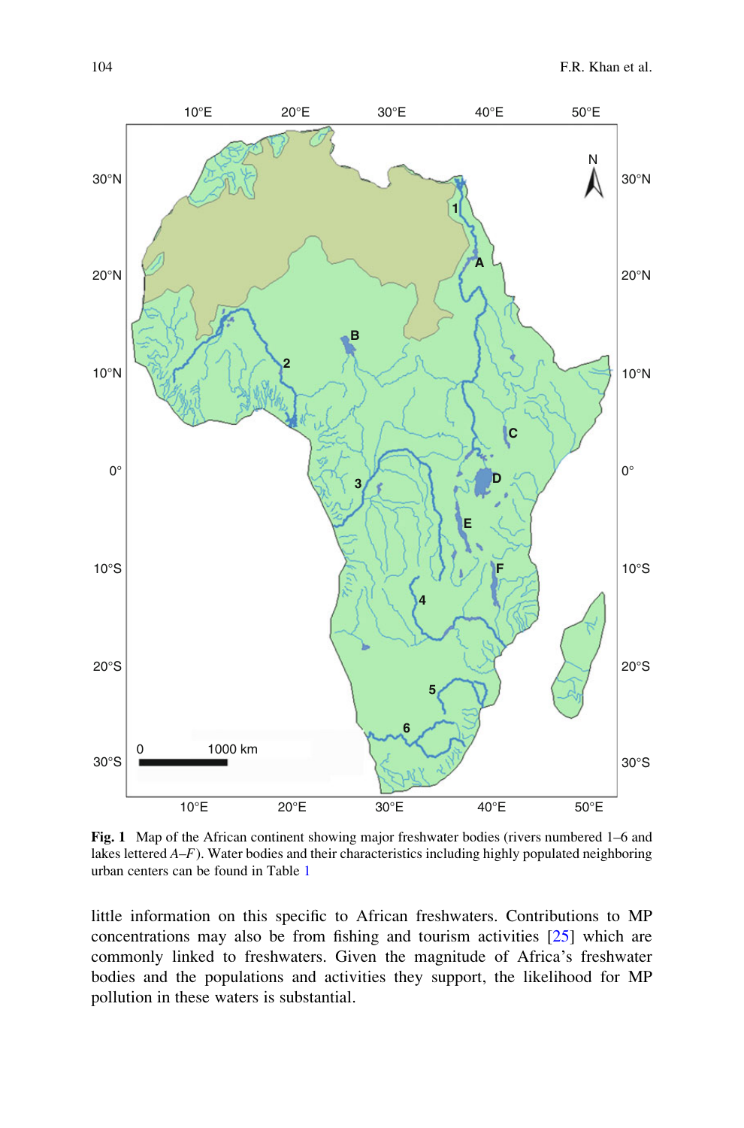<span id="page-4-0"></span>

Fig. 1 Map of the African continent showing major freshwater bodies (rivers numbered 1–6 and lakes lettered A–F). Water bodies and their characteristics including highly populated neighboring urban centers can be found in Table [1](#page-5-0)

little information on this specific to African freshwaters. Contributions to MP concentrations may also be from fishing and tourism activities [[25\]](#page-21-12) which are commonly linked to freshwaters. Given the magnitude of Africa's freshwater bodies and the populations and activities they support, the likelihood for MP pollution in these waters is substantial.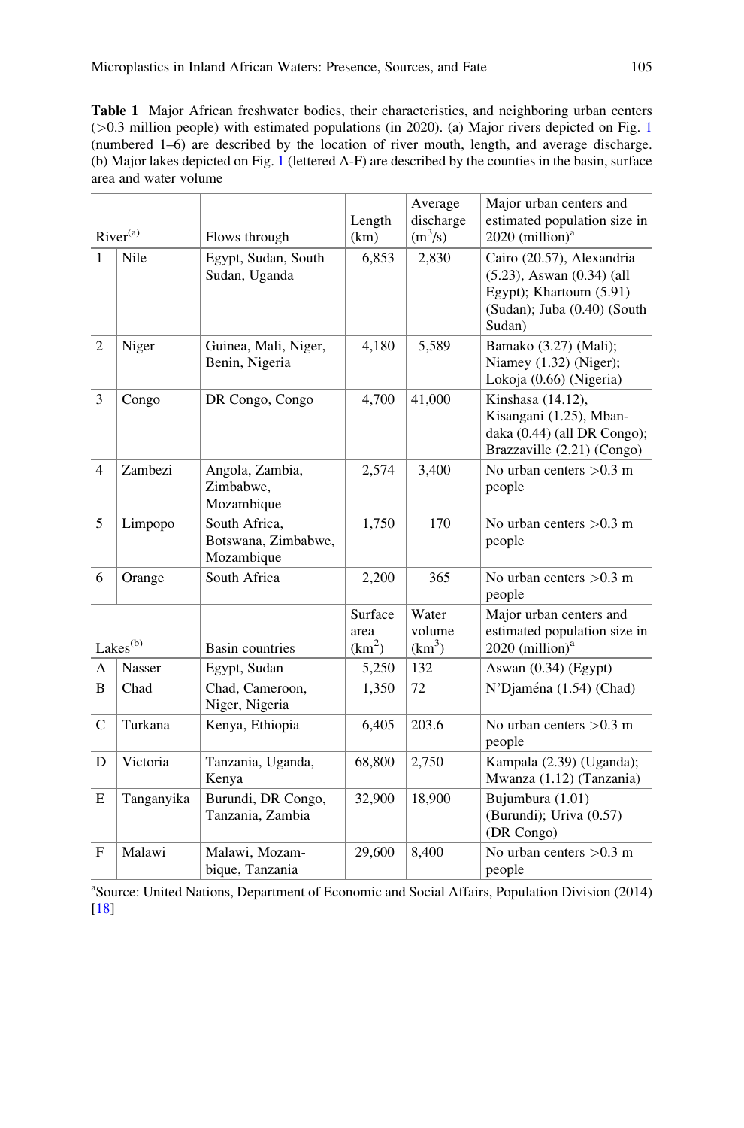<span id="page-5-0"></span>Table 1 Major African freshwater bodies, their characteristics, and neighboring urban centers (>0.3 million people) with estimated populations (in 2020). (a) Major rivers depicted on Fig. [1](#page-4-0) (numbered 1–6) are described by the location of river mouth, length, and average discharge. (b) Major lakes depicted on Fig. [1](#page-4-0) (lettered A-F) are described by the counties in the basin, surface area and water volume

|                      |            |                                                    | Length                                | Average<br>discharge                  | Major urban centers and<br>estimated population size in                                                                         |  |  |  |
|----------------------|------------|----------------------------------------------------|---------------------------------------|---------------------------------------|---------------------------------------------------------------------------------------------------------------------------------|--|--|--|
| River <sup>(a)</sup> |            | Flows through                                      | (km)                                  | $(m^3/s)$                             | $2020$ (million) <sup>a</sup>                                                                                                   |  |  |  |
| $\mathbf{1}$         | Nile       | Egypt, Sudan, South<br>Sudan, Uganda               | 6,853                                 | 2,830                                 | Cairo (20.57), Alexandria<br>$(5.23)$ , Aswan $(0.34)$ (all<br>Egypt); Khartoum (5.91)<br>(Sudan); Juba (0.40) (South<br>Sudan) |  |  |  |
| $\overline{2}$       | Niger      | Guinea, Mali, Niger,<br>Benin, Nigeria             | 4,180                                 | 5,589                                 | Bamako (3.27) (Mali);<br>Niamey $(1.32)$ (Niger);<br>Lokoja (0.66) (Nigeria)                                                    |  |  |  |
| 3                    | Congo      | DR Congo, Congo                                    | 4,700                                 | 41,000                                | Kinshasa (14.12),<br>Kisangani (1.25), Mban-<br>daka (0.44) (all DR Congo);<br>Brazzaville (2.21) (Congo)                       |  |  |  |
| $\overline{4}$       | Zambezi    | Angola, Zambia,<br>Zimbabwe,<br>Mozambique         | 2,574                                 | 3,400                                 | No urban centers $>0.3$ m<br>people                                                                                             |  |  |  |
| 5                    | Limpopo    | South Africa,<br>Botswana, Zimbabwe,<br>Mozambique | 1,750                                 | 170                                   | No urban centers $>0.3$ m<br>people                                                                                             |  |  |  |
| 6                    | Orange     | South Africa                                       | 2,200                                 | 365                                   | No urban centers $>0.3$ m<br>people                                                                                             |  |  |  |
| Lakes <sup>(b)</sup> |            | <b>Basin countries</b>                             | Surface<br>area<br>(km <sup>2</sup> ) | Water<br>volume<br>(km <sup>3</sup> ) | Major urban centers and<br>estimated population size in<br>$2020$ (million) <sup>a</sup>                                        |  |  |  |
| A                    | Nasser     | Egypt, Sudan                                       | 5,250                                 | 132                                   | Aswan (0.34) (Egypt)                                                                                                            |  |  |  |
| B                    | Chad       | Chad, Cameroon,<br>Niger, Nigeria                  | 1,350                                 | 72                                    | N'Djaména (1.54) (Chad)                                                                                                         |  |  |  |
| $\mathbf C$          | Turkana    | Kenya, Ethiopia                                    | 6,405                                 | 203.6                                 | No urban centers $>0.3$ m<br>people                                                                                             |  |  |  |
| D                    | Victoria   | Tanzania, Uganda,<br>Kenya                         | 68,800                                | 2,750                                 | Kampala (2.39) (Uganda);<br>Mwanza (1.12) (Tanzania)                                                                            |  |  |  |
| E                    | Tanganyika | Burundi, DR Congo,<br>Tanzania, Zambia             | 32,900                                | 18,900                                | Bujumbura (1.01)<br>(Burundi); Uriva (0.57)<br>(DR Congo)                                                                       |  |  |  |
| F                    | Malawi     | Malawi, Mozam-<br>bique, Tanzania                  | 29,600                                | 8,400                                 | No urban centers $>0.3$ m<br>people                                                                                             |  |  |  |

<sup>a</sup>Source: United Nations, Department of Economic and Social Affairs, Population Division (2014) [[18](#page-21-5)]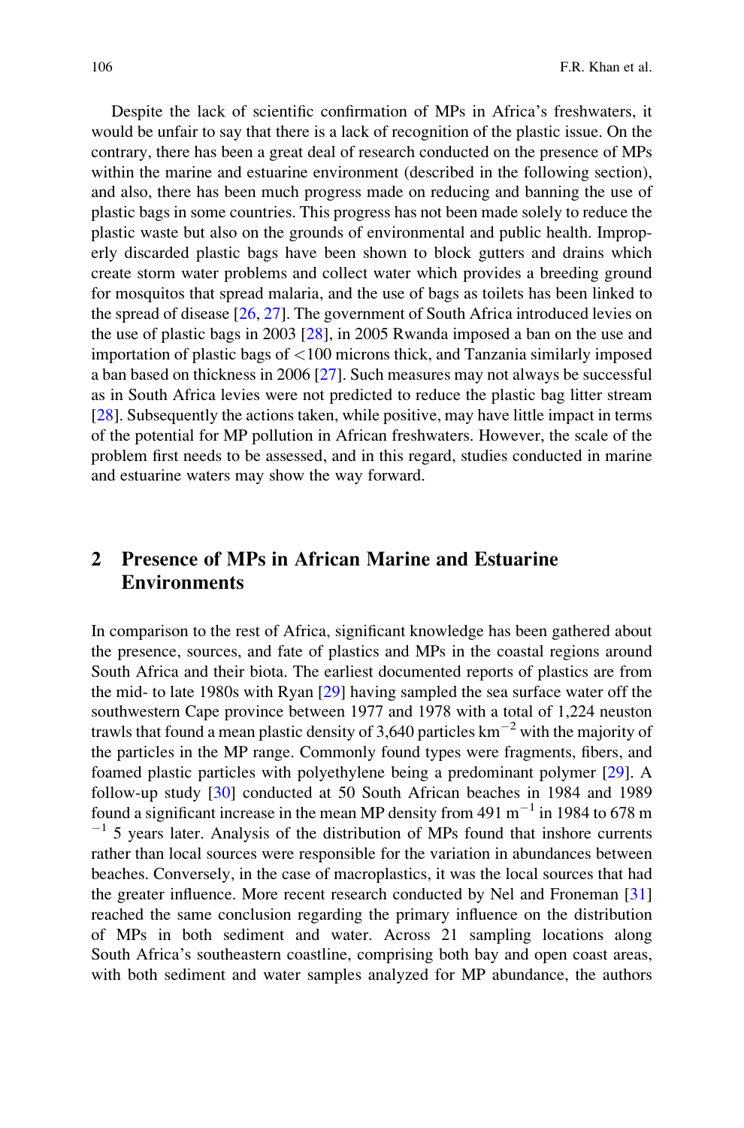Despite the lack of scientific confirmation of MPs in Africa's freshwaters, it would be unfair to say that there is a lack of recognition of the plastic issue. On the contrary, there has been a great deal of research conducted on the presence of MPs within the marine and estuarine environment (described in the following section), and also, there has been much progress made on reducing and banning the use of plastic bags in some countries. This progress has not been made solely to reduce the plastic waste but also on the grounds of environmental and public health. Improperly discarded plastic bags have been shown to block gutters and drains which create storm water problems and collect water which provides a breeding ground for mosquitos that spread malaria, and the use of bags as toilets has been linked to the spread of disease [\[26](#page-21-13), [27\]](#page-21-14). The government of South Africa introduced levies on the use of plastic bags in 2003 [\[28](#page-21-15)], in 2005 Rwanda imposed a ban on the use and importation of plastic bags of <100 microns thick, and Tanzania similarly imposed a ban based on thickness in 2006 [[27\]](#page-21-14). Such measures may not always be successful as in South Africa levies were not predicted to reduce the plastic bag litter stream [\[28](#page-21-15)]. Subsequently the actions taken, while positive, may have little impact in terms of the potential for MP pollution in African freshwaters. However, the scale of the problem first needs to be assessed, and in this regard, studies conducted in marine and estuarine waters may show the way forward.

# 2 Presence of MPs in African Marine and Estuarine Environments

In comparison to the rest of Africa, significant knowledge has been gathered about the presence, sources, and fate of plastics and MPs in the coastal regions around South Africa and their biota. The earliest documented reports of plastics are from the mid- to late 1980s with Ryan [\[29](#page-21-16)] having sampled the sea surface water off the southwestern Cape province between 1977 and 1978 with a total of 1,224 neuston trawls that found a mean plastic density of 3,640 particles  $km^{-2}$  with the majority of the particles in the MP range. Commonly found types were fragments, fibers, and foamed plastic particles with polyethylene being a predominant polymer [\[29](#page-21-16)]. A follow-up study [\[30](#page-21-17)] conducted at 50 South African beaches in 1984 and 1989 found a significant increase in the mean MP density from 491 m<sup>-1</sup> in 1984 to 678 m  $^{-1}$  5 years later. Analysis of the distribution of MPs found that inshore currents rather than local sources were responsible for the variation in abundances between beaches. Conversely, in the case of macroplastics, it was the local sources that had the greater influence. More recent research conducted by Nel and Froneman [\[31](#page-21-18)] reached the same conclusion regarding the primary influence on the distribution of MPs in both sediment and water. Across 21 sampling locations along South Africa's southeastern coastline, comprising both bay and open coast areas, with both sediment and water samples analyzed for MP abundance, the authors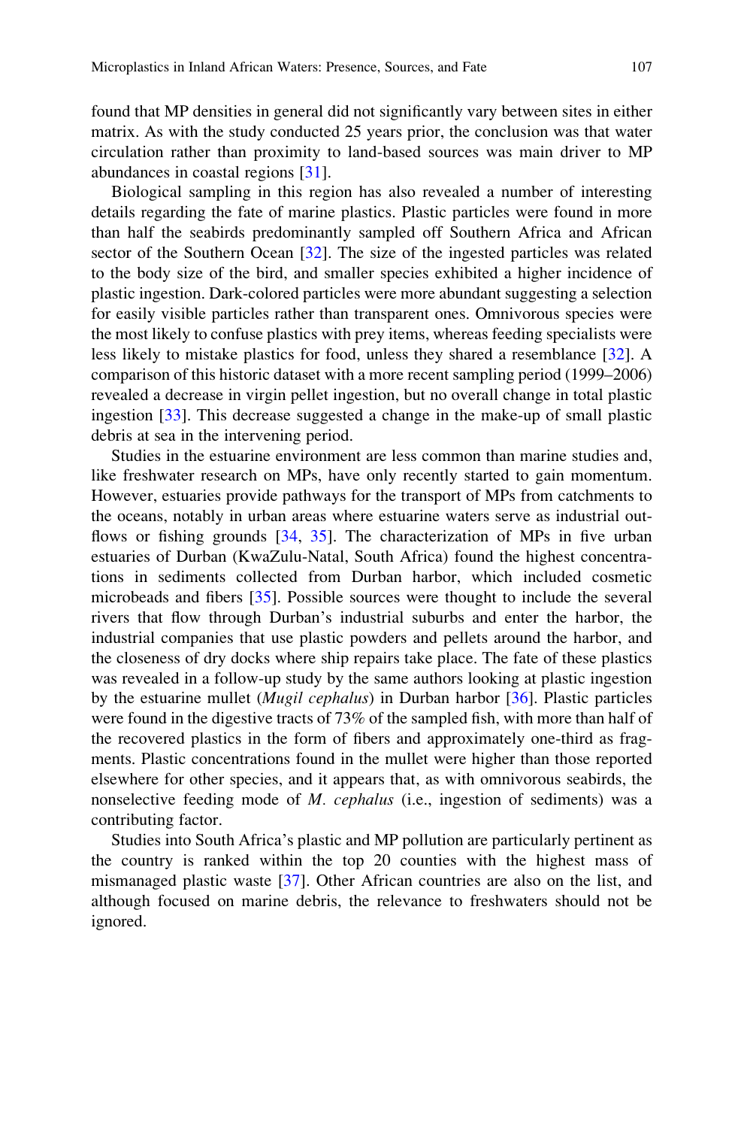found that MP densities in general did not significantly vary between sites in either matrix. As with the study conducted 25 years prior, the conclusion was that water circulation rather than proximity to land-based sources was main driver to MP abundances in coastal regions [\[31](#page-21-18)].

Biological sampling in this region has also revealed a number of interesting details regarding the fate of marine plastics. Plastic particles were found in more than half the seabirds predominantly sampled off Southern Africa and African sector of the Southern Ocean [\[32](#page-21-19)]. The size of the ingested particles was related to the body size of the bird, and smaller species exhibited a higher incidence of plastic ingestion. Dark-colored particles were more abundant suggesting a selection for easily visible particles rather than transparent ones. Omnivorous species were the most likely to confuse plastics with prey items, whereas feeding specialists were less likely to mistake plastics for food, unless they shared a resemblance [\[32](#page-21-19)]. A comparison of this historic dataset with a more recent sampling period (1999–2006) revealed a decrease in virgin pellet ingestion, but no overall change in total plastic ingestion [\[33](#page-22-0)]. This decrease suggested a change in the make-up of small plastic debris at sea in the intervening period.

Studies in the estuarine environment are less common than marine studies and, like freshwater research on MPs, have only recently started to gain momentum. However, estuaries provide pathways for the transport of MPs from catchments to the oceans, notably in urban areas where estuarine waters serve as industrial outflows or fishing grounds [[34,](#page-22-1) [35](#page-22-2)]. The characterization of MPs in five urban estuaries of Durban (KwaZulu-Natal, South Africa) found the highest concentrations in sediments collected from Durban harbor, which included cosmetic microbeads and fibers [\[35](#page-22-2)]. Possible sources were thought to include the several rivers that flow through Durban's industrial suburbs and enter the harbor, the industrial companies that use plastic powders and pellets around the harbor, and the closeness of dry docks where ship repairs take place. The fate of these plastics was revealed in a follow-up study by the same authors looking at plastic ingestion by the estuarine mullet (Mugil cephalus) in Durban harbor [\[36](#page-22-3)]. Plastic particles were found in the digestive tracts of 73% of the sampled fish, with more than half of the recovered plastics in the form of fibers and approximately one-third as fragments. Plastic concentrations found in the mullet were higher than those reported elsewhere for other species, and it appears that, as with omnivorous seabirds, the nonselective feeding mode of M. cephalus (i.e., ingestion of sediments) was a contributing factor.

Studies into South Africa's plastic and MP pollution are particularly pertinent as the country is ranked within the top 20 counties with the highest mass of mismanaged plastic waste [[37\]](#page-22-4). Other African countries are also on the list, and although focused on marine debris, the relevance to freshwaters should not be ignored.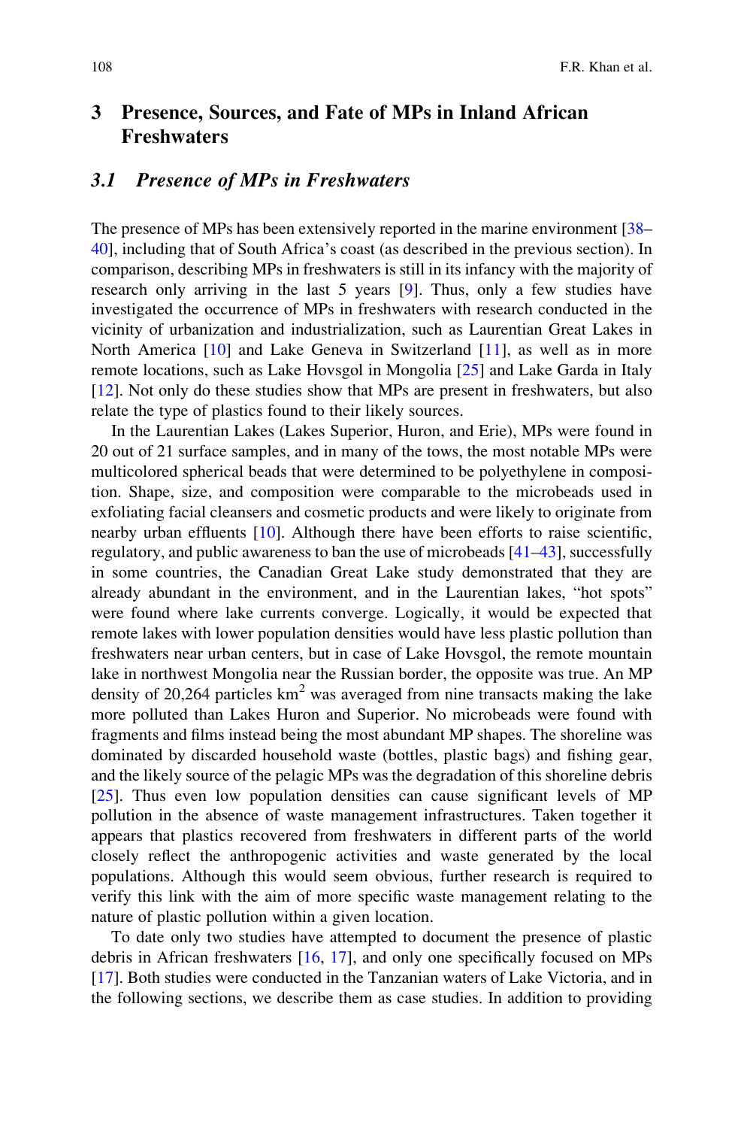# 3 Presence, Sources, and Fate of MPs in Inland African Freshwaters

## 3.1 Presence of MPs in Freshwaters

The presence of MPs has been extensively reported in the marine environment [[38–](#page-22-5) [40\]](#page-22-6), including that of South Africa's coast (as described in the previous section). In comparison, describing MPs in freshwaters is still in its infancy with the majority of research only arriving in the last 5 years [\[9](#page-20-8)]. Thus, only a few studies have investigated the occurrence of MPs in freshwaters with research conducted in the vicinity of urbanization and industrialization, such as Laurentian Great Lakes in North America [\[10](#page-20-9)] and Lake Geneva in Switzerland [\[11](#page-20-10)], as well as in more remote locations, such as Lake Hovsgol in Mongolia [\[25](#page-21-12)] and Lake Garda in Italy [\[12](#page-20-11)]. Not only do these studies show that MPs are present in freshwaters, but also relate the type of plastics found to their likely sources.

In the Laurentian Lakes (Lakes Superior, Huron, and Erie), MPs were found in 20 out of 21 surface samples, and in many of the tows, the most notable MPs were multicolored spherical beads that were determined to be polyethylene in composition. Shape, size, and composition were comparable to the microbeads used in exfoliating facial cleansers and cosmetic products and were likely to originate from nearby urban effluents [[10\]](#page-20-9). Although there have been efforts to raise scientific, regulatory, and public awareness to ban the use of microbeads [[41–](#page-22-7)[43\]](#page-22-8), successfully in some countries, the Canadian Great Lake study demonstrated that they are already abundant in the environment, and in the Laurentian lakes, "hot spots" were found where lake currents converge. Logically, it would be expected that remote lakes with lower population densities would have less plastic pollution than freshwaters near urban centers, but in case of Lake Hovsgol, the remote mountain lake in northwest Mongolia near the Russian border, the opposite was true. An MP density of 20,264 particles  $km^2$  was averaged from nine transacts making the lake more polluted than Lakes Huron and Superior. No microbeads were found with fragments and films instead being the most abundant MP shapes. The shoreline was dominated by discarded household waste (bottles, plastic bags) and fishing gear, and the likely source of the pelagic MPs was the degradation of this shoreline debris [\[25](#page-21-12)]. Thus even low population densities can cause significant levels of MP pollution in the absence of waste management infrastructures. Taken together it appears that plastics recovered from freshwaters in different parts of the world closely reflect the anthropogenic activities and waste generated by the local populations. Although this would seem obvious, further research is required to verify this link with the aim of more specific waste management relating to the nature of plastic pollution within a given location.

To date only two studies have attempted to document the presence of plastic debris in African freshwaters [\[16](#page-21-3), [17\]](#page-21-4), and only one specifically focused on MPs [\[17](#page-21-4)]. Both studies were conducted in the Tanzanian waters of Lake Victoria, and in the following sections, we describe them as case studies. In addition to providing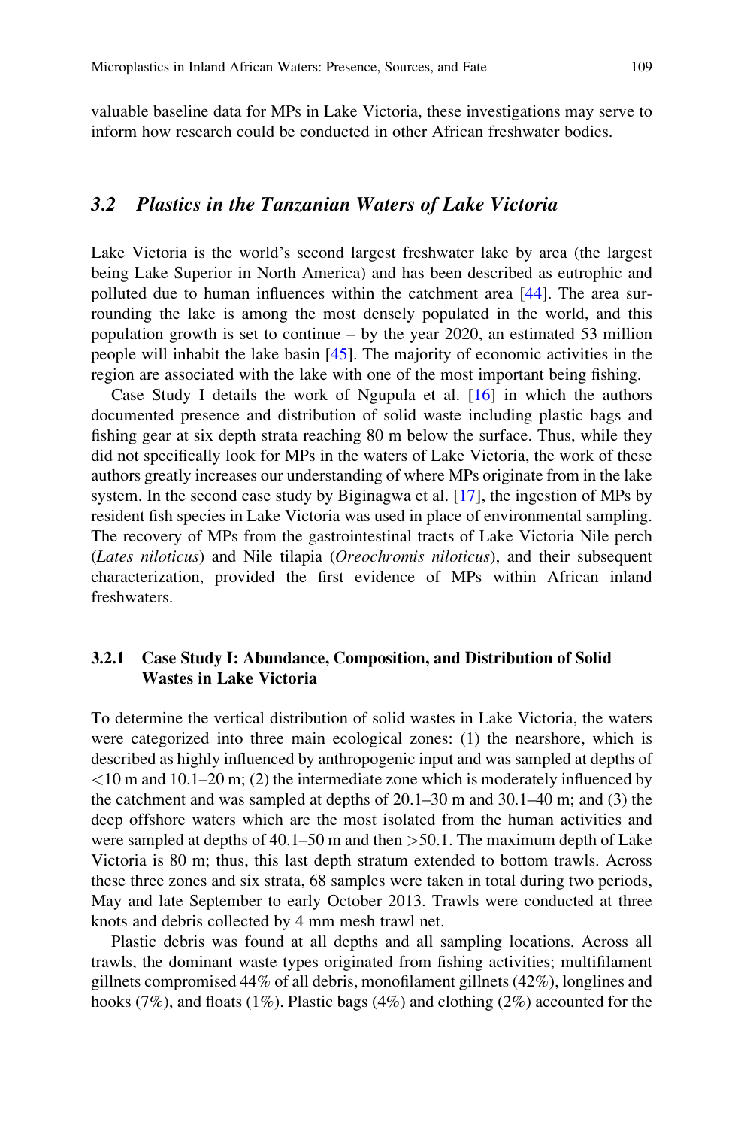valuable baseline data for MPs in Lake Victoria, these investigations may serve to inform how research could be conducted in other African freshwater bodies.

# 3.2 Plastics in the Tanzanian Waters of Lake Victoria

Lake Victoria is the world's second largest freshwater lake by area (the largest being Lake Superior in North America) and has been described as eutrophic and polluted due to human influences within the catchment area [\[44](#page-22-9)]. The area surrounding the lake is among the most densely populated in the world, and this population growth is set to continue – by the year 2020, an estimated 53 million people will inhabit the lake basin [\[45](#page-22-10)]. The majority of economic activities in the region are associated with the lake with one of the most important being fishing.

Case Study I details the work of Ngupula et al.  $[16]$  $[16]$  in which the authors documented presence and distribution of solid waste including plastic bags and fishing gear at six depth strata reaching 80 m below the surface. Thus, while they did not specifically look for MPs in the waters of Lake Victoria, the work of these authors greatly increases our understanding of where MPs originate from in the lake system. In the second case study by Biginagwa et al. [\[17](#page-21-4)], the ingestion of MPs by resident fish species in Lake Victoria was used in place of environmental sampling. The recovery of MPs from the gastrointestinal tracts of Lake Victoria Nile perch (Lates niloticus) and Nile tilapia (Oreochromis niloticus), and their subsequent characterization, provided the first evidence of MPs within African inland freshwaters.

#### 3.2.1 Case Study I: Abundance, Composition, and Distribution of Solid Wastes in Lake Victoria

To determine the vertical distribution of solid wastes in Lake Victoria, the waters were categorized into three main ecological zones: (1) the nearshore, which is described as highly influenced by anthropogenic input and was sampled at depths of  $<$ 10 m and 10.1–20 m; (2) the intermediate zone which is moderately influenced by the catchment and was sampled at depths of 20.1–30 m and 30.1–40 m; and (3) the deep offshore waters which are the most isolated from the human activities and were sampled at depths of  $40.1-50$  m and then  $>50.1$ . The maximum depth of Lake Victoria is 80 m; thus, this last depth stratum extended to bottom trawls. Across these three zones and six strata, 68 samples were taken in total during two periods, May and late September to early October 2013. Trawls were conducted at three knots and debris collected by 4 mm mesh trawl net.

Plastic debris was found at all depths and all sampling locations. Across all trawls, the dominant waste types originated from fishing activities; multifilament gillnets compromised 44% of all debris, monofilament gillnets (42%), longlines and hooks (7%), and floats (1%). Plastic bags (4%) and clothing (2%) accounted for the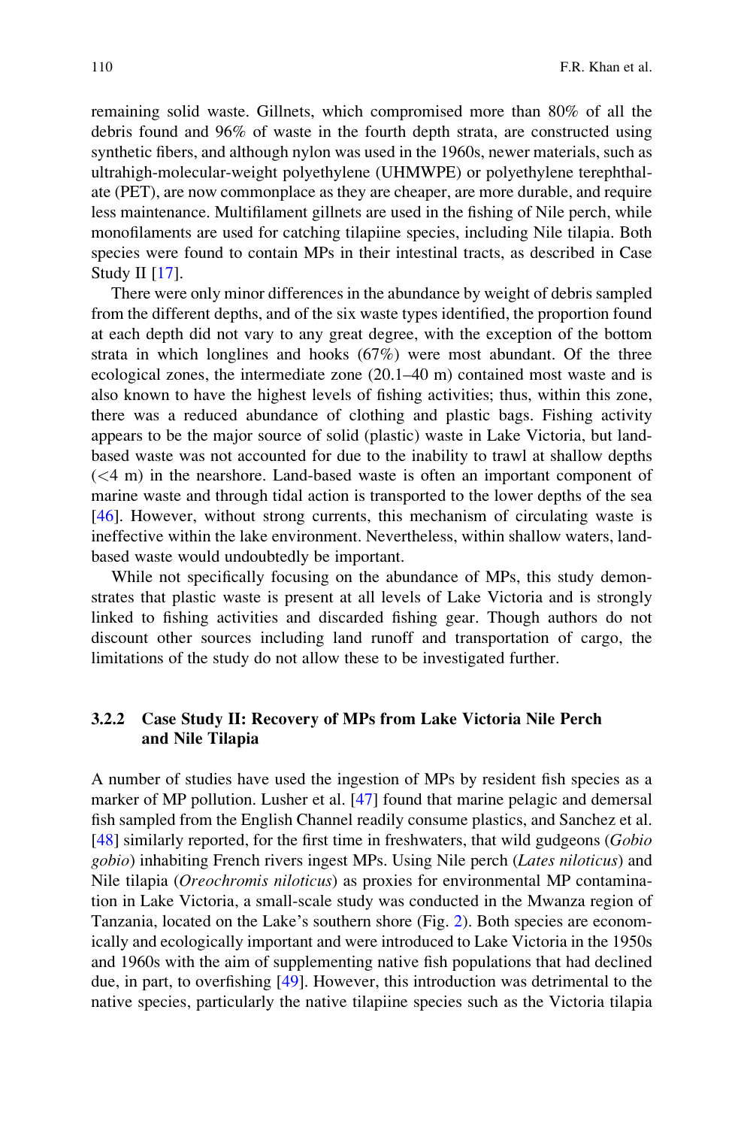remaining solid waste. Gillnets, which compromised more than 80% of all the debris found and 96% of waste in the fourth depth strata, are constructed using synthetic fibers, and although nylon was used in the 1960s, newer materials, such as ultrahigh-molecular-weight polyethylene (UHMWPE) or polyethylene terephthalate (PET), are now commonplace as they are cheaper, are more durable, and require less maintenance. Multifilament gillnets are used in the fishing of Nile perch, while monofilaments are used for catching tilapiine species, including Nile tilapia. Both species were found to contain MPs in their intestinal tracts, as described in Case Study II [[17\]](#page-21-4).

There were only minor differences in the abundance by weight of debris sampled from the different depths, and of the six waste types identified, the proportion found at each depth did not vary to any great degree, with the exception of the bottom strata in which longlines and hooks (67%) were most abundant. Of the three ecological zones, the intermediate zone (20.1–40 m) contained most waste and is also known to have the highest levels of fishing activities; thus, within this zone, there was a reduced abundance of clothing and plastic bags. Fishing activity appears to be the major source of solid (plastic) waste in Lake Victoria, but landbased waste was not accounted for due to the inability to trawl at shallow depths  $( $4 \text{ m}$ )$  in the nearshore. Land-based waste is often an important component of marine waste and through tidal action is transported to the lower depths of the sea [\[46](#page-22-11)]. However, without strong currents, this mechanism of circulating waste is ineffective within the lake environment. Nevertheless, within shallow waters, landbased waste would undoubtedly be important.

While not specifically focusing on the abundance of MPs, this study demonstrates that plastic waste is present at all levels of Lake Victoria and is strongly linked to fishing activities and discarded fishing gear. Though authors do not discount other sources including land runoff and transportation of cargo, the limitations of the study do not allow these to be investigated further.

#### 3.2.2 Case Study II: Recovery of MPs from Lake Victoria Nile Perch and Nile Tilapia

A number of studies have used the ingestion of MPs by resident fish species as a marker of MP pollution. Lusher et al. [\[47](#page-22-12)] found that marine pelagic and demersal fish sampled from the English Channel readily consume plastics, and Sanchez et al. [\[48](#page-22-13)] similarly reported, for the first time in freshwaters, that wild gudgeons (Gobio gobio) inhabiting French rivers ingest MPs. Using Nile perch (Lates niloticus) and Nile tilapia (Oreochromis niloticus) as proxies for environmental MP contamination in Lake Victoria, a small-scale study was conducted in the Mwanza region of Tanzania, located on the Lake's southern shore (Fig. [2](#page-11-0)). Both species are economically and ecologically important and were introduced to Lake Victoria in the 1950s and 1960s with the aim of supplementing native fish populations that had declined due, in part, to overfishing [[49\]](#page-22-14). However, this introduction was detrimental to the native species, particularly the native tilapiine species such as the Victoria tilapia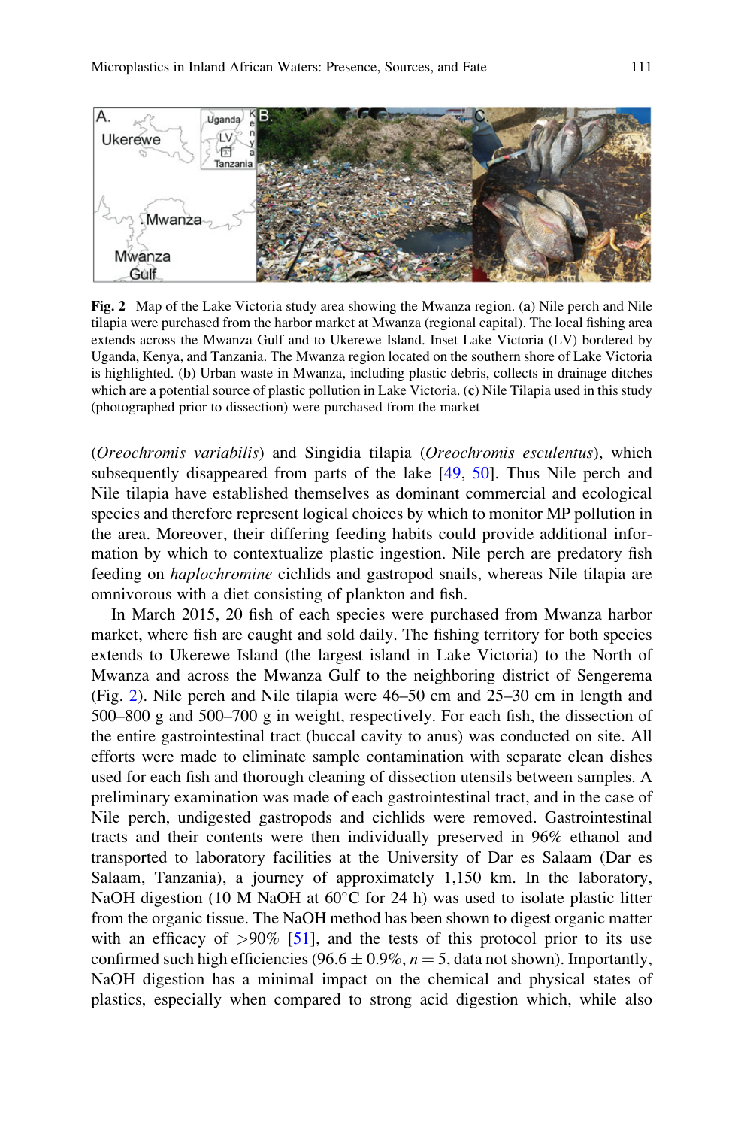<span id="page-11-0"></span>

Fig. 2 Map of the Lake Victoria study area showing the Mwanza region. (a) Nile perch and Nile tilapia were purchased from the harbor market at Mwanza (regional capital). The local fishing area extends across the Mwanza Gulf and to Ukerewe Island. Inset Lake Victoria (LV) bordered by Uganda, Kenya, and Tanzania. The Mwanza region located on the southern shore of Lake Victoria is highlighted. (b) Urban waste in Mwanza, including plastic debris, collects in drainage ditches which are a potential source of plastic pollution in Lake Victoria. (c) Nile Tilapia used in this study (photographed prior to dissection) were purchased from the market

(Oreochromis variabilis) and Singidia tilapia (Oreochromis esculentus), which subsequently disappeared from parts of the lake [[49,](#page-22-14) [50](#page-22-15)]. Thus Nile perch and Nile tilapia have established themselves as dominant commercial and ecological species and therefore represent logical choices by which to monitor MP pollution in the area. Moreover, their differing feeding habits could provide additional information by which to contextualize plastic ingestion. Nile perch are predatory fish feeding on *haplochromine* cichlids and gastropod snails, whereas Nile tilapia are omnivorous with a diet consisting of plankton and fish.

In March 2015, 20 fish of each species were purchased from Mwanza harbor market, where fish are caught and sold daily. The fishing territory for both species extends to Ukerewe Island (the largest island in Lake Victoria) to the North of Mwanza and across the Mwanza Gulf to the neighboring district of Sengerema (Fig. [2](#page-11-0)). Nile perch and Nile tilapia were 46–50 cm and 25–30 cm in length and 500–800 g and 500–700 g in weight, respectively. For each fish, the dissection of the entire gastrointestinal tract (buccal cavity to anus) was conducted on site. All efforts were made to eliminate sample contamination with separate clean dishes used for each fish and thorough cleaning of dissection utensils between samples. A preliminary examination was made of each gastrointestinal tract, and in the case of Nile perch, undigested gastropods and cichlids were removed. Gastrointestinal tracts and their contents were then individually preserved in 96% ethanol and transported to laboratory facilities at the University of Dar es Salaam (Dar es Salaam, Tanzania), a journey of approximately 1,150 km. In the laboratory, NaOH digestion (10 M NaOH at  $60^{\circ}$ C for 24 h) was used to isolate plastic litter from the organic tissue. The NaOH method has been shown to digest organic matter with an efficacy of  $>90\%$  [\[51](#page-22-16)], and the tests of this protocol prior to its use confirmed such high efficiencies (96.6  $\pm$  0.9%, n = 5, data not shown). Importantly, NaOH digestion has a minimal impact on the chemical and physical states of plastics, especially when compared to strong acid digestion which, while also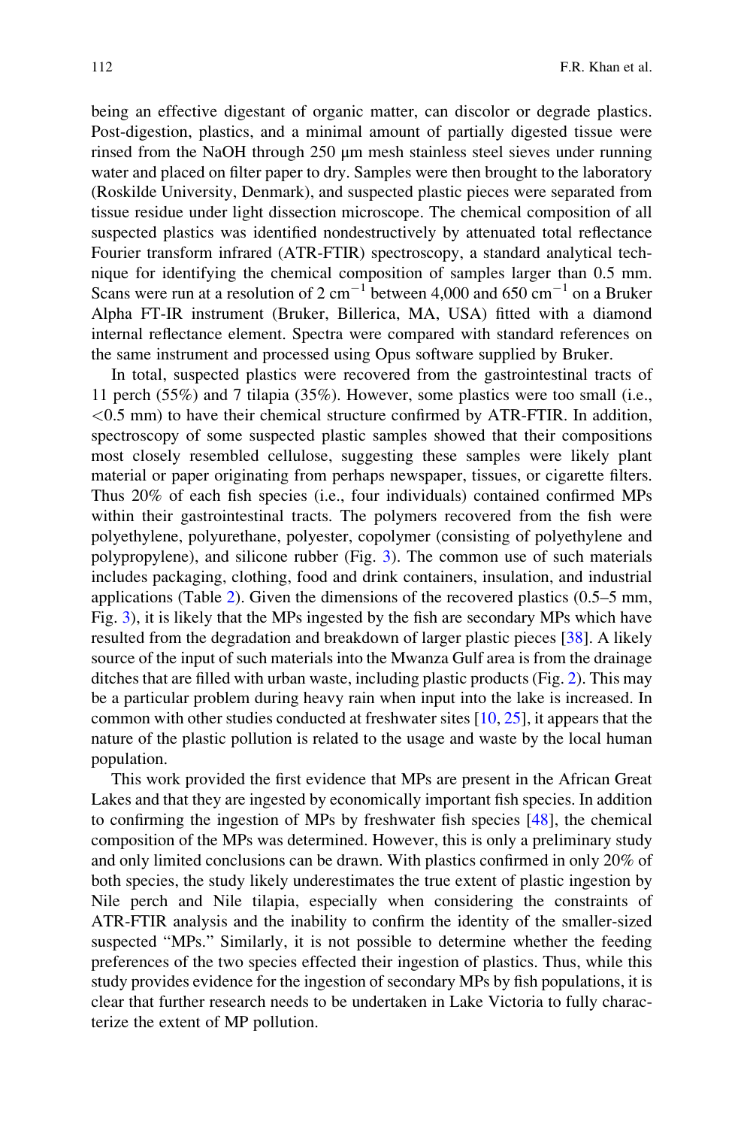being an effective digestant of organic matter, can discolor or degrade plastics. Post-digestion, plastics, and a minimal amount of partially digested tissue were rinsed from the NaOH through 250 μm mesh stainless steel sieves under running water and placed on filter paper to dry. Samples were then brought to the laboratory (Roskilde University, Denmark), and suspected plastic pieces were separated from tissue residue under light dissection microscope. The chemical composition of all suspected plastics was identified nondestructively by attenuated total reflectance Fourier transform infrared (ATR-FTIR) spectroscopy, a standard analytical technique for identifying the chemical composition of samples larger than 0.5 mm. Scans were run at a resolution of 2 cm<sup>-1</sup> between 4,000 and 650 cm<sup>-1</sup> on a Bruker Alpha FT-IR instrument (Bruker, Billerica, MA, USA) fitted with a diamond internal reflectance element. Spectra were compared with standard references on the same instrument and processed using Opus software supplied by Bruker.

In total, suspected plastics were recovered from the gastrointestinal tracts of 11 perch (55%) and 7 tilapia (35%). However, some plastics were too small (i.e.,  $<$ 0.5 mm) to have their chemical structure confirmed by ATR-FTIR. In addition, spectroscopy of some suspected plastic samples showed that their compositions most closely resembled cellulose, suggesting these samples were likely plant material or paper originating from perhaps newspaper, tissues, or cigarette filters. Thus 20% of each fish species (i.e., four individuals) contained confirmed MPs within their gastrointestinal tracts. The polymers recovered from the fish were polyethylene, polyurethane, polyester, copolymer (consisting of polyethylene and polypropylene), and silicone rubber (Fig. [3](#page-13-0)). The common use of such materials includes packaging, clothing, food and drink containers, insulation, and industrial applications (Table [2\)](#page-13-1). Given the dimensions of the recovered plastics (0.5–5 mm, Fig. [3](#page-13-0)), it is likely that the MPs ingested by the fish are secondary MPs which have resulted from the degradation and breakdown of larger plastic pieces [[38\]](#page-22-5). A likely source of the input of such materials into the Mwanza Gulf area is from the drainage ditches that are filled with urban waste, including plastic products (Fig. [2\)](#page-11-0). This may be a particular problem during heavy rain when input into the lake is increased. In common with other studies conducted at freshwater sites [\[10](#page-20-9), [25\]](#page-21-12), it appears that the nature of the plastic pollution is related to the usage and waste by the local human population.

This work provided the first evidence that MPs are present in the African Great Lakes and that they are ingested by economically important fish species. In addition to confirming the ingestion of MPs by freshwater fish species  $[48]$  $[48]$ , the chemical composition of the MPs was determined. However, this is only a preliminary study and only limited conclusions can be drawn. With plastics confirmed in only 20% of both species, the study likely underestimates the true extent of plastic ingestion by Nile perch and Nile tilapia, especially when considering the constraints of ATR-FTIR analysis and the inability to confirm the identity of the smaller-sized suspected "MPs." Similarly, it is not possible to determine whether the feeding preferences of the two species effected their ingestion of plastics. Thus, while this study provides evidence for the ingestion of secondary MPs by fish populations, it is clear that further research needs to be undertaken in Lake Victoria to fully characterize the extent of MP pollution.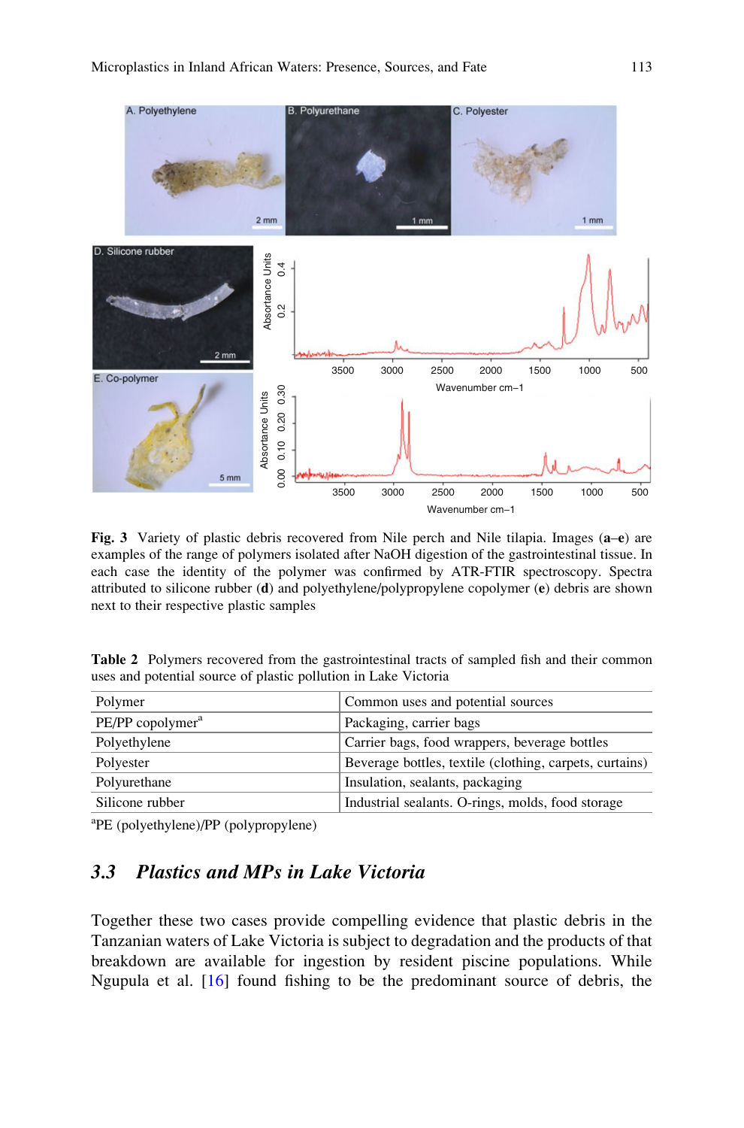<span id="page-13-0"></span>

Fig. 3 Variety of plastic debris recovered from Nile perch and Nile tilapia. Images (a–e) are examples of the range of polymers isolated after NaOH digestion of the gastrointestinal tissue. In each case the identity of the polymer was confirmed by ATR-FTIR spectroscopy. Spectra attributed to silicone rubber (d) and polyethylene/polypropylene copolymer (e) debris are shown next to their respective plastic samples

<span id="page-13-1"></span>

|  |  | <b>Table 2</b> Polymers recovered from the gastrointestinal tracts of sampled fish and their common |  |  |  |  |
|--|--|-----------------------------------------------------------------------------------------------------|--|--|--|--|
|  |  | uses and potential source of plastic pollution in Lake Victoria                                     |  |  |  |  |

| Polymer                      | Common uses and potential sources                       |  |  |  |
|------------------------------|---------------------------------------------------------|--|--|--|
| PE/PP copolymer <sup>a</sup> | Packaging, carrier bags                                 |  |  |  |
| Polyethylene                 | Carrier bags, food wrappers, beverage bottles           |  |  |  |
| Polyester                    | Beverage bottles, textile (clothing, carpets, curtains) |  |  |  |
| Polyurethane                 | Insulation, sealants, packaging                         |  |  |  |
| Silicone rubber              | Industrial sealants. O-rings, molds, food storage       |  |  |  |

<sup>a</sup>PE (polyethylene)/PP (polypropylene)

# 3.3 Plastics and MPs in Lake Victoria

Together these two cases provide compelling evidence that plastic debris in the Tanzanian waters of Lake Victoria is subject to degradation and the products of that breakdown are available for ingestion by resident piscine populations. While Ngupula et al. [\[16](#page-21-3)] found fishing to be the predominant source of debris, the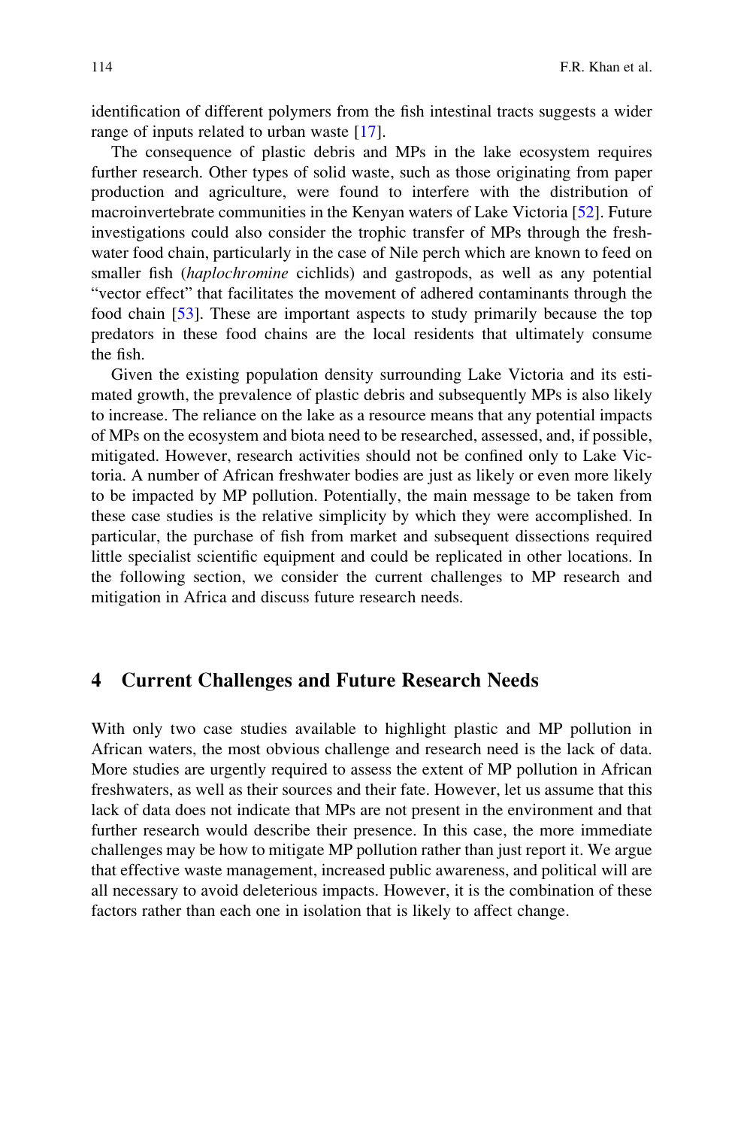identification of different polymers from the fish intestinal tracts suggests a wider range of inputs related to urban waste [\[17](#page-21-4)].

The consequence of plastic debris and MPs in the lake ecosystem requires further research. Other types of solid waste, such as those originating from paper production and agriculture, were found to interfere with the distribution of macroinvertebrate communities in the Kenyan waters of Lake Victoria [\[52](#page-22-17)]. Future investigations could also consider the trophic transfer of MPs through the freshwater food chain, particularly in the case of Nile perch which are known to feed on smaller fish (haplochromine cichlids) and gastropods, as well as any potential "vector effect" that facilitates the movement of adhered contaminants through the food chain [[53\]](#page-23-0). These are important aspects to study primarily because the top predators in these food chains are the local residents that ultimately consume the fish.

Given the existing population density surrounding Lake Victoria and its estimated growth, the prevalence of plastic debris and subsequently MPs is also likely to increase. The reliance on the lake as a resource means that any potential impacts of MPs on the ecosystem and biota need to be researched, assessed, and, if possible, mitigated. However, research activities should not be confined only to Lake Victoria. A number of African freshwater bodies are just as likely or even more likely to be impacted by MP pollution. Potentially, the main message to be taken from these case studies is the relative simplicity by which they were accomplished. In particular, the purchase of fish from market and subsequent dissections required little specialist scientific equipment and could be replicated in other locations. In the following section, we consider the current challenges to MP research and mitigation in Africa and discuss future research needs.

#### 4 Current Challenges and Future Research Needs

With only two case studies available to highlight plastic and MP pollution in African waters, the most obvious challenge and research need is the lack of data. More studies are urgently required to assess the extent of MP pollution in African freshwaters, as well as their sources and their fate. However, let us assume that this lack of data does not indicate that MPs are not present in the environment and that further research would describe their presence. In this case, the more immediate challenges may be how to mitigate MP pollution rather than just report it. We argue that effective waste management, increased public awareness, and political will are all necessary to avoid deleterious impacts. However, it is the combination of these factors rather than each one in isolation that is likely to affect change.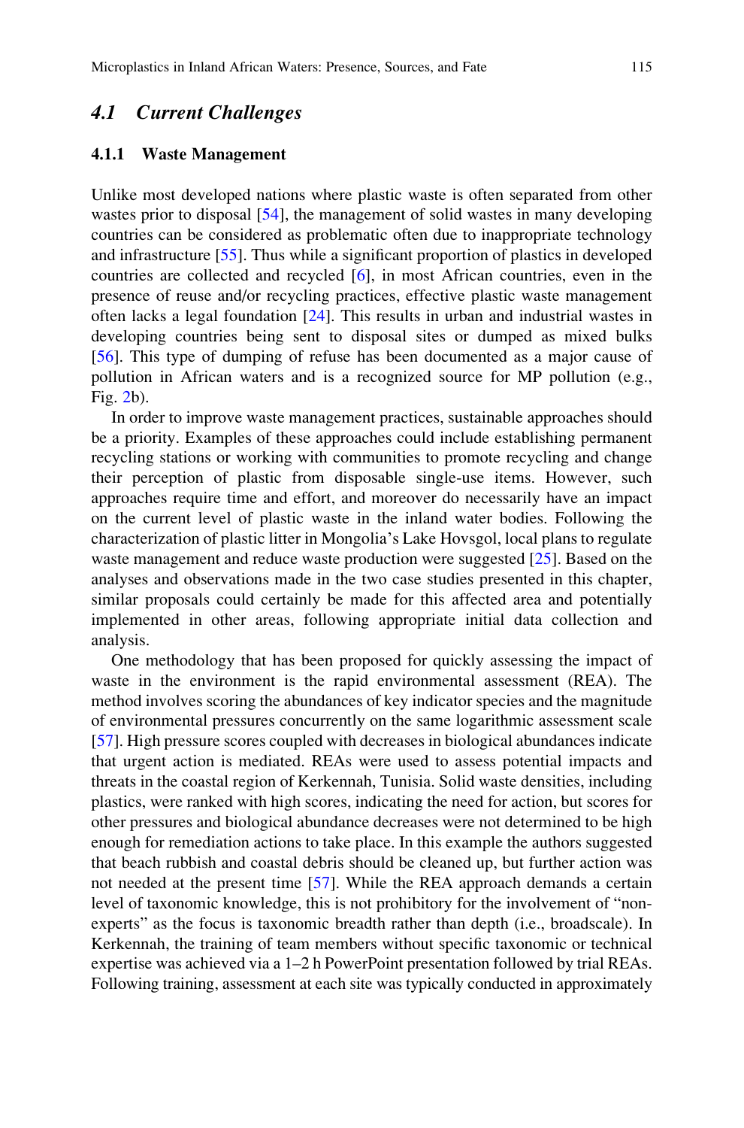### 4.1 Current Challenges

#### 4.1.1 Waste Management

Unlike most developed nations where plastic waste is often separated from other wastes prior to disposal [[54\]](#page-23-1), the management of solid wastes in many developing countries can be considered as problematic often due to inappropriate technology and infrastructure [\[55](#page-23-2)]. Thus while a significant proportion of plastics in developed countries are collected and recycled [[6\]](#page-20-5), in most African countries, even in the presence of reuse and/or recycling practices, effective plastic waste management often lacks a legal foundation [\[24](#page-21-11)]. This results in urban and industrial wastes in developing countries being sent to disposal sites or dumped as mixed bulks [\[56](#page-23-3)]. This type of dumping of refuse has been documented as a major cause of pollution in African waters and is a recognized source for MP pollution (e.g., Fig. [2](#page-11-0)b).

In order to improve waste management practices, sustainable approaches should be a priority. Examples of these approaches could include establishing permanent recycling stations or working with communities to promote recycling and change their perception of plastic from disposable single-use items. However, such approaches require time and effort, and moreover do necessarily have an impact on the current level of plastic waste in the inland water bodies. Following the characterization of plastic litter in Mongolia's Lake Hovsgol, local plans to regulate waste management and reduce waste production were suggested [\[25\]](#page-21-12). Based on the analyses and observations made in the two case studies presented in this chapter, similar proposals could certainly be made for this affected area and potentially implemented in other areas, following appropriate initial data collection and analysis.

One methodology that has been proposed for quickly assessing the impact of waste in the environment is the rapid environmental assessment (REA). The method involves scoring the abundances of key indicator species and the magnitude of environmental pressures concurrently on the same logarithmic assessment scale [\[57](#page-23-4)]. High pressure scores coupled with decreases in biological abundances indicate that urgent action is mediated. REAs were used to assess potential impacts and threats in the coastal region of Kerkennah, Tunisia. Solid waste densities, including plastics, were ranked with high scores, indicating the need for action, but scores for other pressures and biological abundance decreases were not determined to be high enough for remediation actions to take place. In this example the authors suggested that beach rubbish and coastal debris should be cleaned up, but further action was not needed at the present time [\[57](#page-23-4)]. While the REA approach demands a certain level of taxonomic knowledge, this is not prohibitory for the involvement of "nonexperts" as the focus is taxonomic breadth rather than depth (i.e., broadscale). In Kerkennah, the training of team members without specific taxonomic or technical expertise was achieved via a 1–2 h PowerPoint presentation followed by trial REAs. Following training, assessment at each site was typically conducted in approximately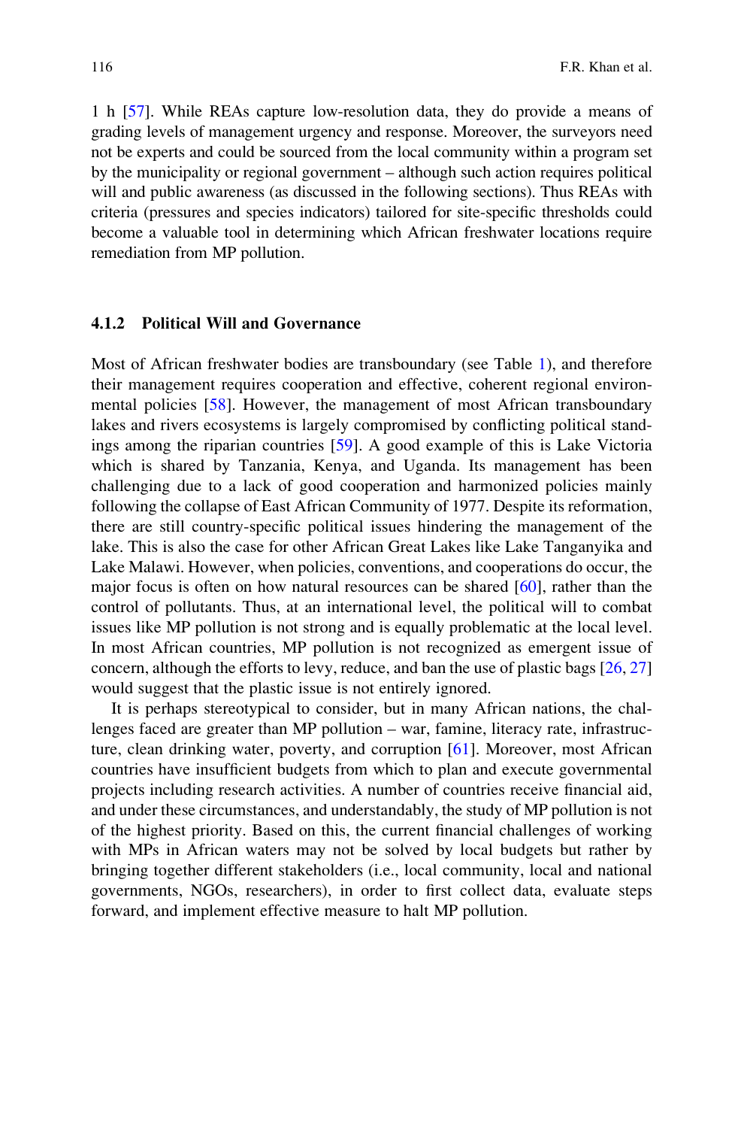1h[[57](#page-23-4)]. While REAs capture low-resolution data, they do provide a means of grading levels of management urgency and response. Moreover, the surveyors need not be experts and could be sourced from the local community within a program set by the municipality or regional government – although such action requires political will and public awareness (as discussed in the following sections). Thus REAs with criteria (pressures and species indicators) tailored for site-specific thresholds could become a valuable tool in determining which African freshwater locations require remediation from MP pollution.

#### 4.1.2 Political Will and Governance

Most of African freshwater bodies are transboundary (see Table [1\)](#page-5-0), and therefore their management requires cooperation and effective, coherent regional environmental policies [[58\]](#page-23-5). However, the management of most African transboundary lakes and rivers ecosystems is largely compromised by conflicting political standings among the riparian countries [[59\]](#page-23-6). A good example of this is Lake Victoria which is shared by Tanzania, Kenya, and Uganda. Its management has been challenging due to a lack of good cooperation and harmonized policies mainly following the collapse of East African Community of 1977. Despite its reformation, there are still country-specific political issues hindering the management of the lake. This is also the case for other African Great Lakes like Lake Tanganyika and Lake Malawi. However, when policies, conventions, and cooperations do occur, the major focus is often on how natural resources can be shared [\[60](#page-23-7)], rather than the control of pollutants. Thus, at an international level, the political will to combat issues like MP pollution is not strong and is equally problematic at the local level. In most African countries, MP pollution is not recognized as emergent issue of concern, although the efforts to levy, reduce, and ban the use of plastic bags  $[26, 27]$  $[26, 27]$  $[26, 27]$  $[26, 27]$  $[26, 27]$ would suggest that the plastic issue is not entirely ignored.

It is perhaps stereotypical to consider, but in many African nations, the challenges faced are greater than MP pollution – war, famine, literacy rate, infrastructure, clean drinking water, poverty, and corruption [[61\]](#page-23-8). Moreover, most African countries have insufficient budgets from which to plan and execute governmental projects including research activities. A number of countries receive financial aid, and under these circumstances, and understandably, the study of MP pollution is not of the highest priority. Based on this, the current financial challenges of working with MPs in African waters may not be solved by local budgets but rather by bringing together different stakeholders (i.e., local community, local and national governments, NGOs, researchers), in order to first collect data, evaluate steps forward, and implement effective measure to halt MP pollution.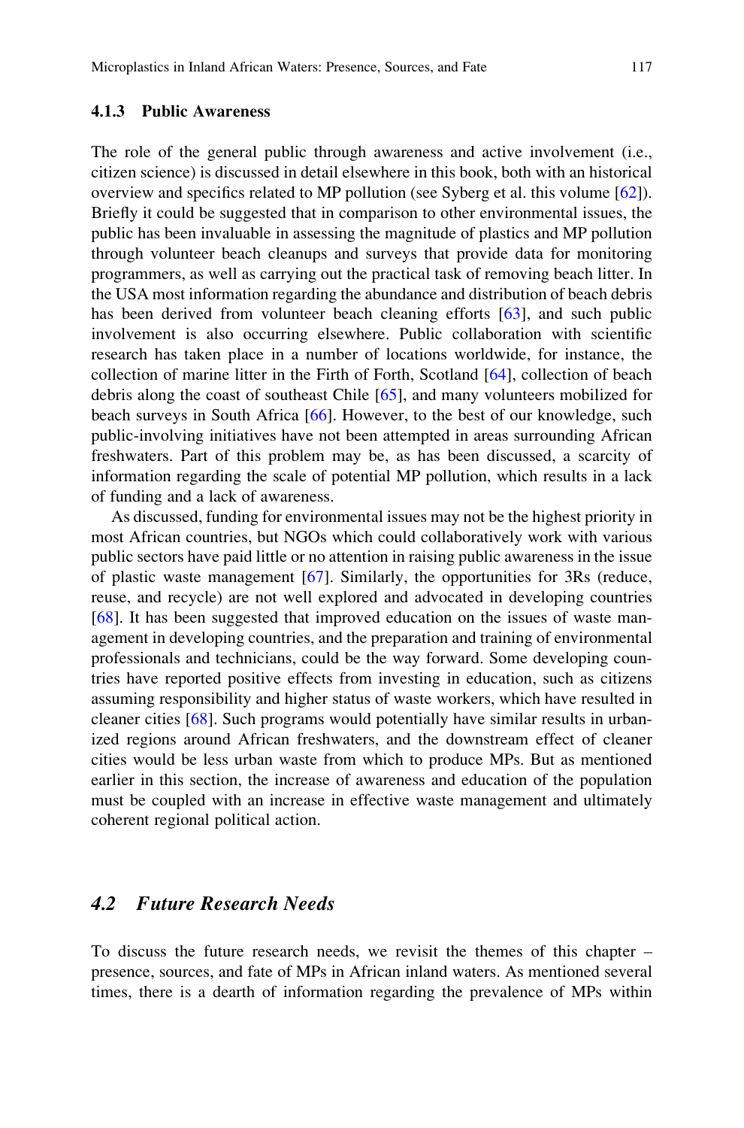#### 4.1.3 Public Awareness

The role of the general public through awareness and active involvement (i.e., citizen science) is discussed in detail elsewhere in this book, both with an historical overview and specifics related to MP pollution (see Syberg et al. this volume [\[62](#page-23-9)]). Briefly it could be suggested that in comparison to other environmental issues, the public has been invaluable in assessing the magnitude of plastics and MP pollution through volunteer beach cleanups and surveys that provide data for monitoring programmers, as well as carrying out the practical task of removing beach litter. In the USA most information regarding the abundance and distribution of beach debris has been derived from volunteer beach cleaning efforts [[63\]](#page-23-10), and such public involvement is also occurring elsewhere. Public collaboration with scientific research has taken place in a number of locations worldwide, for instance, the collection of marine litter in the Firth of Forth, Scotland [\[64](#page-23-11)], collection of beach debris along the coast of southeast Chile [[65\]](#page-23-12), and many volunteers mobilized for beach surveys in South Africa [\[66](#page-23-13)]. However, to the best of our knowledge, such public-involving initiatives have not been attempted in areas surrounding African freshwaters. Part of this problem may be, as has been discussed, a scarcity of information regarding the scale of potential MP pollution, which results in a lack of funding and a lack of awareness.

As discussed, funding for environmental issues may not be the highest priority in most African countries, but NGOs which could collaboratively work with various public sectors have paid little or no attention in raising public awareness in the issue of plastic waste management [\[67](#page-23-14)]. Similarly, the opportunities for 3Rs (reduce, reuse, and recycle) are not well explored and advocated in developing countries [\[68](#page-23-15)]. It has been suggested that improved education on the issues of waste management in developing countries, and the preparation and training of environmental professionals and technicians, could be the way forward. Some developing countries have reported positive effects from investing in education, such as citizens assuming responsibility and higher status of waste workers, which have resulted in cleaner cities [[68\]](#page-23-15). Such programs would potentially have similar results in urbanized regions around African freshwaters, and the downstream effect of cleaner cities would be less urban waste from which to produce MPs. But as mentioned earlier in this section, the increase of awareness and education of the population must be coupled with an increase in effective waste management and ultimately coherent regional political action.

# 4.2 Future Research Needs

To discuss the future research needs, we revisit the themes of this chapter – presence, sources, and fate of MPs in African inland waters. As mentioned several times, there is a dearth of information regarding the prevalence of MPs within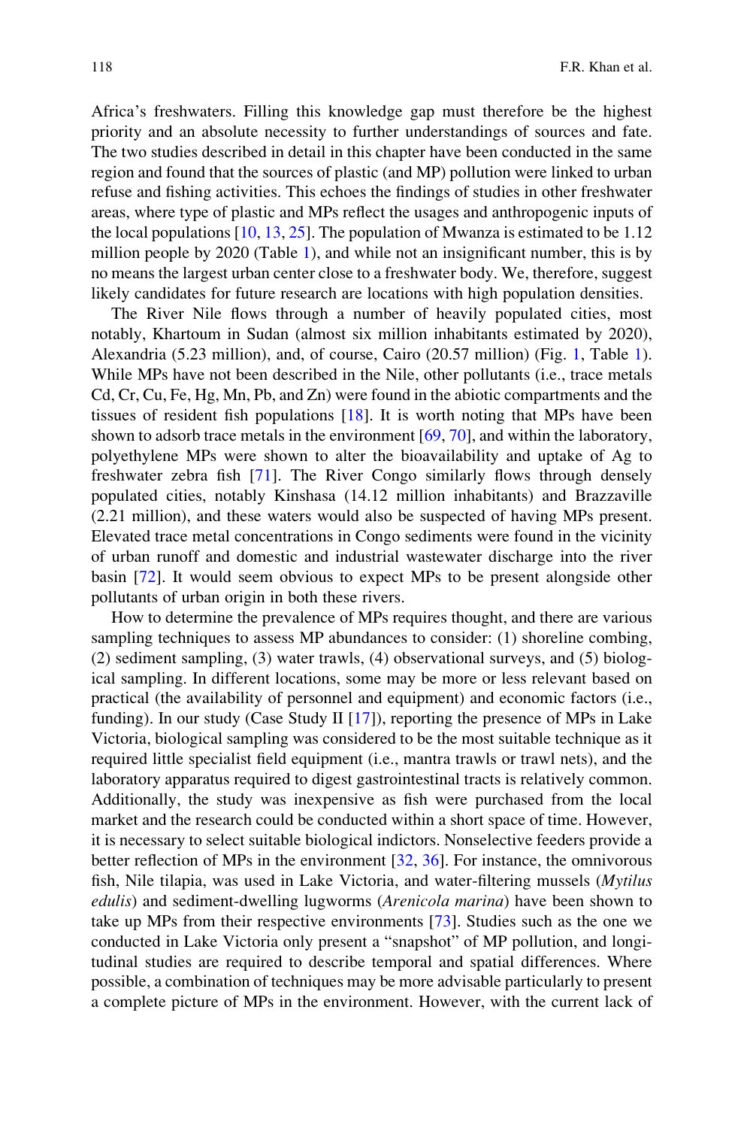Africa's freshwaters. Filling this knowledge gap must therefore be the highest priority and an absolute necessity to further understandings of sources and fate. The two studies described in detail in this chapter have been conducted in the same region and found that the sources of plastic (and MP) pollution were linked to urban refuse and fishing activities. This echoes the findings of studies in other freshwater areas, where type of plastic and MPs reflect the usages and anthropogenic inputs of the local populations  $[10, 13, 25]$  $[10, 13, 25]$  $[10, 13, 25]$  $[10, 13, 25]$  $[10, 13, 25]$  $[10, 13, 25]$ . The population of Mwanza is estimated to be 1.12 million people by 2020 (Table [1\)](#page-5-0), and while not an insignificant number, this is by no means the largest urban center close to a freshwater body. We, therefore, suggest likely candidates for future research are locations with high population densities.

The River Nile flows through a number of heavily populated cities, most notably, Khartoum in Sudan (almost six million inhabitants estimated by 2020), Alexandria (5.23 million), and, of course, Cairo (20.57 million) (Fig. [1](#page-4-0), Table [1\)](#page-5-0). While MPs have not been described in the Nile, other pollutants (i.e., trace metals Cd, Cr, Cu, Fe, Hg, Mn, Pb, and Zn) were found in the abiotic compartments and the tissues of resident fish populations [[18\]](#page-21-5). It is worth noting that MPs have been shown to adsorb trace metals in the environment [[69,](#page-23-16) [70](#page-23-17)], and within the laboratory, polyethylene MPs were shown to alter the bioavailability and uptake of Ag to freshwater zebra fish [[71\]](#page-23-18). The River Congo similarly flows through densely populated cities, notably Kinshasa (14.12 million inhabitants) and Brazzaville (2.21 million), and these waters would also be suspected of having MPs present. Elevated trace metal concentrations in Congo sediments were found in the vicinity of urban runoff and domestic and industrial wastewater discharge into the river basin [\[72](#page-23-19)]. It would seem obvious to expect MPs to be present alongside other pollutants of urban origin in both these rivers.

How to determine the prevalence of MPs requires thought, and there are various sampling techniques to assess MP abundances to consider: (1) shoreline combing, (2) sediment sampling, (3) water trawls, (4) observational surveys, and (5) biological sampling. In different locations, some may be more or less relevant based on practical (the availability of personnel and equipment) and economic factors (i.e., funding). In our study (Case Study II [[17](#page-21-4)]), reporting the presence of MPs in Lake Victoria, biological sampling was considered to be the most suitable technique as it required little specialist field equipment (i.e., mantra trawls or trawl nets), and the laboratory apparatus required to digest gastrointestinal tracts is relatively common. Additionally, the study was inexpensive as fish were purchased from the local market and the research could be conducted within a short space of time. However, it is necessary to select suitable biological indictors. Nonselective feeders provide a better reflection of MPs in the environment [\[32](#page-21-19), [36\]](#page-22-3). For instance, the omnivorous fish, Nile tilapia, was used in Lake Victoria, and water-filtering mussels (Mytilus edulis) and sediment-dwelling lugworms (Arenicola marina) have been shown to take up MPs from their respective environments [[73\]](#page-24-0). Studies such as the one we conducted in Lake Victoria only present a "snapshot" of MP pollution, and longitudinal studies are required to describe temporal and spatial differences. Where possible, a combination of techniques may be more advisable particularly to present a complete picture of MPs in the environment. However, with the current lack of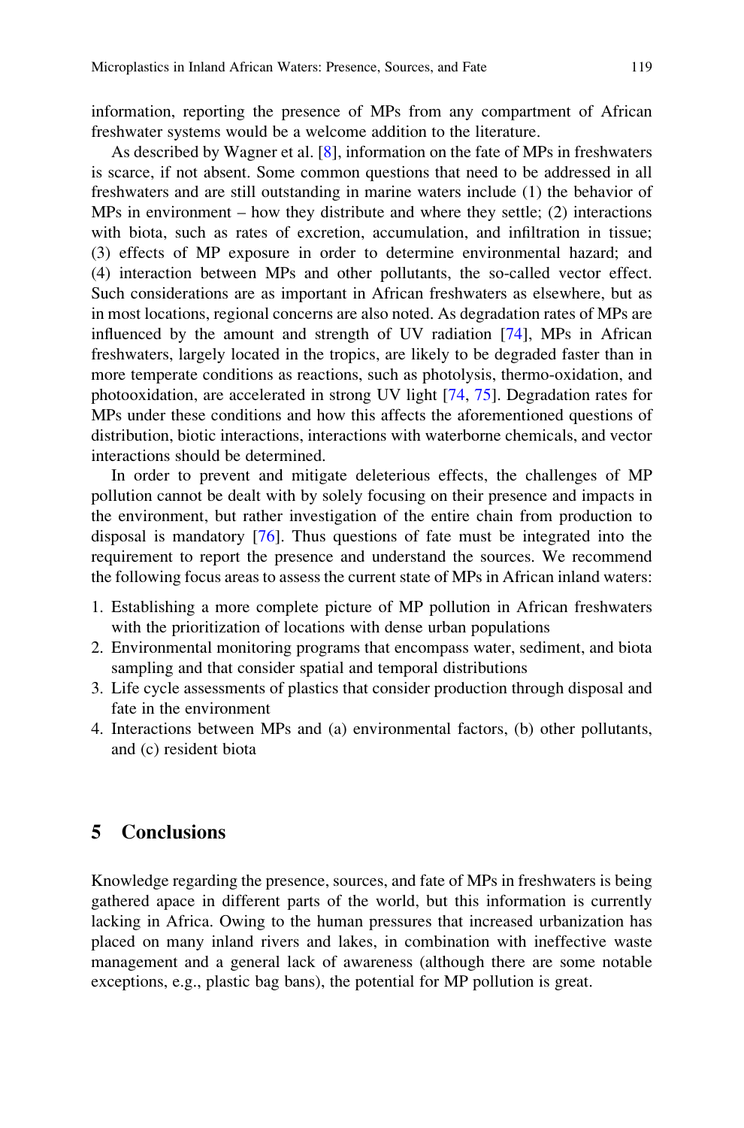information, reporting the presence of MPs from any compartment of African freshwater systems would be a welcome addition to the literature.

As described by Wagner et al. [\[8](#page-20-7)], information on the fate of MPs in freshwaters is scarce, if not absent. Some common questions that need to be addressed in all freshwaters and are still outstanding in marine waters include (1) the behavior of MPs in environment – how they distribute and where they settle;  $(2)$  interactions with biota, such as rates of excretion, accumulation, and infiltration in tissue; (3) effects of MP exposure in order to determine environmental hazard; and (4) interaction between MPs and other pollutants, the so-called vector effect. Such considerations are as important in African freshwaters as elsewhere, but as in most locations, regional concerns are also noted. As degradation rates of MPs are influenced by the amount and strength of UV radiation [[74\]](#page-24-1), MPs in African freshwaters, largely located in the tropics, are likely to be degraded faster than in more temperate conditions as reactions, such as photolysis, thermo-oxidation, and photooxidation, are accelerated in strong UV light [[74,](#page-24-1) [75](#page-24-2)]. Degradation rates for MPs under these conditions and how this affects the aforementioned questions of distribution, biotic interactions, interactions with waterborne chemicals, and vector interactions should be determined.

In order to prevent and mitigate deleterious effects, the challenges of MP pollution cannot be dealt with by solely focusing on their presence and impacts in the environment, but rather investigation of the entire chain from production to disposal is mandatory [[76](#page-24-3)]. Thus questions of fate must be integrated into the requirement to report the presence and understand the sources. We recommend the following focus areas to assess the current state of MPs in African inland waters:

- 1. Establishing a more complete picture of MP pollution in African freshwaters with the prioritization of locations with dense urban populations
- 2. Environmental monitoring programs that encompass water, sediment, and biota sampling and that consider spatial and temporal distributions
- 3. Life cycle assessments of plastics that consider production through disposal and fate in the environment
- 4. Interactions between MPs and (a) environmental factors, (b) other pollutants, and (c) resident biota

## 5 Conclusions

Knowledge regarding the presence, sources, and fate of MPs in freshwaters is being gathered apace in different parts of the world, but this information is currently lacking in Africa. Owing to the human pressures that increased urbanization has placed on many inland rivers and lakes, in combination with ineffective waste management and a general lack of awareness (although there are some notable exceptions, e.g., plastic bag bans), the potential for MP pollution is great.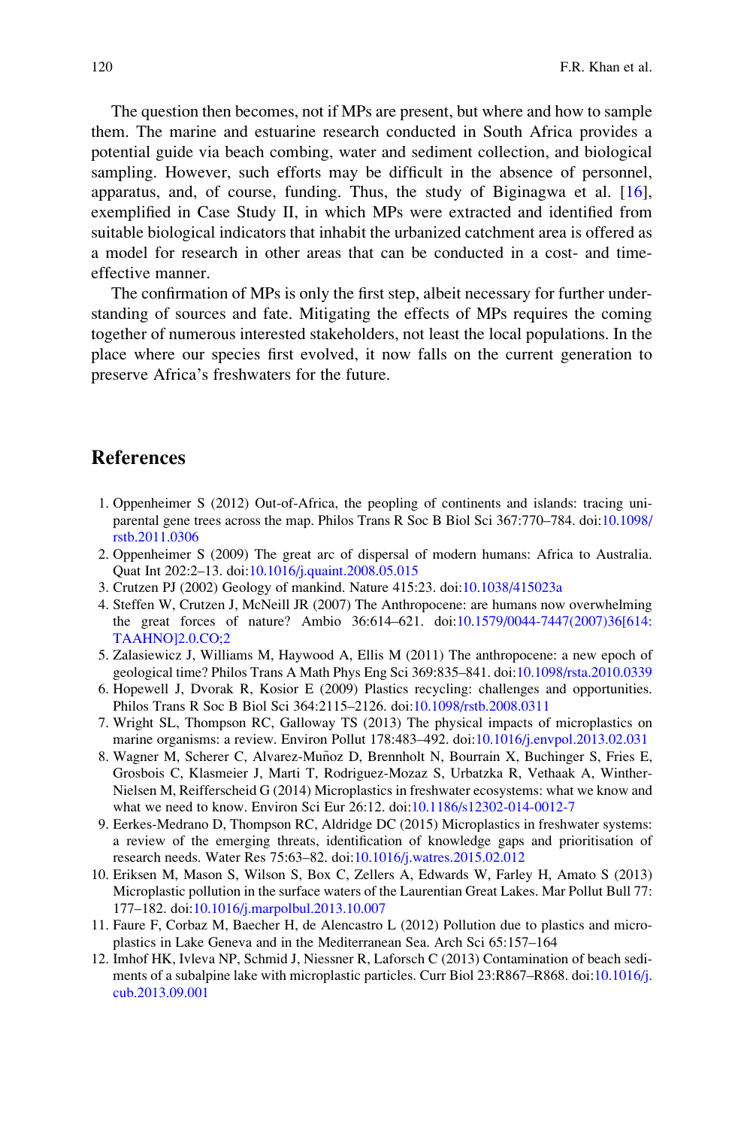The question then becomes, not if MPs are present, but where and how to sample them. The marine and estuarine research conducted in South Africa provides a potential guide via beach combing, water and sediment collection, and biological sampling. However, such efforts may be difficult in the absence of personnel, apparatus, and, of course, funding. Thus, the study of Biginagwa et al. [[16\]](#page-21-3), exemplified in Case Study II, in which MPs were extracted and identified from suitable biological indicators that inhabit the urbanized catchment area is offered as a model for research in other areas that can be conducted in a cost- and timeeffective manner.

The confirmation of MPs is only the first step, albeit necessary for further understanding of sources and fate. Mitigating the effects of MPs requires the coming together of numerous interested stakeholders, not least the local populations. In the place where our species first evolved, it now falls on the current generation to preserve Africa's freshwaters for the future.

## <span id="page-20-0"></span>References

- 1. Oppenheimer S (2012) Out-of-Africa, the peopling of continents and islands: tracing uniparental gene trees across the map. Philos Trans R Soc B Biol Sci 367:770–784. doi:[10.1098/](https://doi.org/10.1098/rstb.2011.0306) [rstb.2011.0306](https://doi.org/10.1098/rstb.2011.0306)
- <span id="page-20-2"></span><span id="page-20-1"></span>2. Oppenheimer S (2009) The great arc of dispersal of modern humans: Africa to Australia. Quat Int 202:2–13. doi[:10.1016/j.quaint.2008.05.015](https://doi.org/10.1016/j.quaint.2008.05.015)
- <span id="page-20-3"></span>3. Crutzen PJ (2002) Geology of mankind. Nature 415:23. doi[:10.1038/415023a](https://doi.org/10.1038/415023a)
- 4. Steffen W, Crutzen J, McNeill JR (2007) The Anthropocene: are humans now overwhelming the great forces of nature? Ambio 36:614–621. doi:[10.1579/0044-7447\(2007\)36\[614:](https://doi.org/10.1579/0044-7447(2007)36[614:TAAHNO]2.0.CO;2) [TAAHNO\]2.0.CO;2](https://doi.org/10.1579/0044-7447(2007)36[614:TAAHNO]2.0.CO;2)
- <span id="page-20-4"></span>5. Zalasiewicz J, Williams M, Haywood A, Ellis M (2011) The anthropocene: a new epoch of geological time? Philos Trans A Math Phys Eng Sci 369:835–841. doi[:10.1098/rsta.2010.0339](https://doi.org/10.1098/rsta.2010.0339)
- <span id="page-20-6"></span><span id="page-20-5"></span>6. Hopewell J, Dvorak R, Kosior E (2009) Plastics recycling: challenges and opportunities. Philos Trans R Soc B Biol Sci 364:2115–2126. doi[:10.1098/rstb.2008.0311](https://doi.org/10.1098/rstb.2008.0311)
- 7. Wright SL, Thompson RC, Galloway TS (2013) The physical impacts of microplastics on marine organisms: a review. Environ Pollut 178:483–492. doi:[10.1016/j.envpol.2013.02.031](https://doi.org/10.1016/j.envpol.2013.02.031)
- <span id="page-20-7"></span>8. Wagner M, Scherer C, Alvarez-Muñoz D, Brennholt N, Bourrain X, Buchinger S, Fries E, Grosbois C, Klasmeier J, Marti T, Rodriguez-Mozaz S, Urbatzka R, Vethaak A, Winther-Nielsen M, Reifferscheid G (2014) Microplastics in freshwater ecosystems: what we know and what we need to know. Environ Sci Eur 26:12. doi[:10.1186/s12302-014-0012-7](https://doi.org/10.1186/s12302-014-0012-7)
- <span id="page-20-8"></span>9. Eerkes-Medrano D, Thompson RC, Aldridge DC (2015) Microplastics in freshwater systems: a review of the emerging threats, identification of knowledge gaps and prioritisation of research needs. Water Res 75:63–82. doi[:10.1016/j.watres.2015.02.012](https://doi.org/10.1016/j.watres.2015.02.012)
- <span id="page-20-9"></span>10. Eriksen M, Mason S, Wilson S, Box C, Zellers A, Edwards W, Farley H, Amato S (2013) Microplastic pollution in the surface waters of the Laurentian Great Lakes. Mar Pollut Bull 77: 177–182. doi[:10.1016/j.marpolbul.2013.10.007](https://doi.org/10.1016/j.marpolbul.2013.10.007)
- <span id="page-20-10"></span>11. Faure F, Corbaz M, Baecher H, de Alencastro L (2012) Pollution due to plastics and microplastics in Lake Geneva and in the Mediterranean Sea. Arch Sci 65:157–164
- <span id="page-20-11"></span>12. Imhof HK, Ivleva NP, Schmid J, Niessner R, Laforsch C (2013) Contamination of beach sediments of a subalpine lake with microplastic particles. Curr Biol 23:R867–R868. doi[:10.1016/j.](https://doi.org/10.1016/j.cub.2013.09.001) [cub.2013.09.001](https://doi.org/10.1016/j.cub.2013.09.001)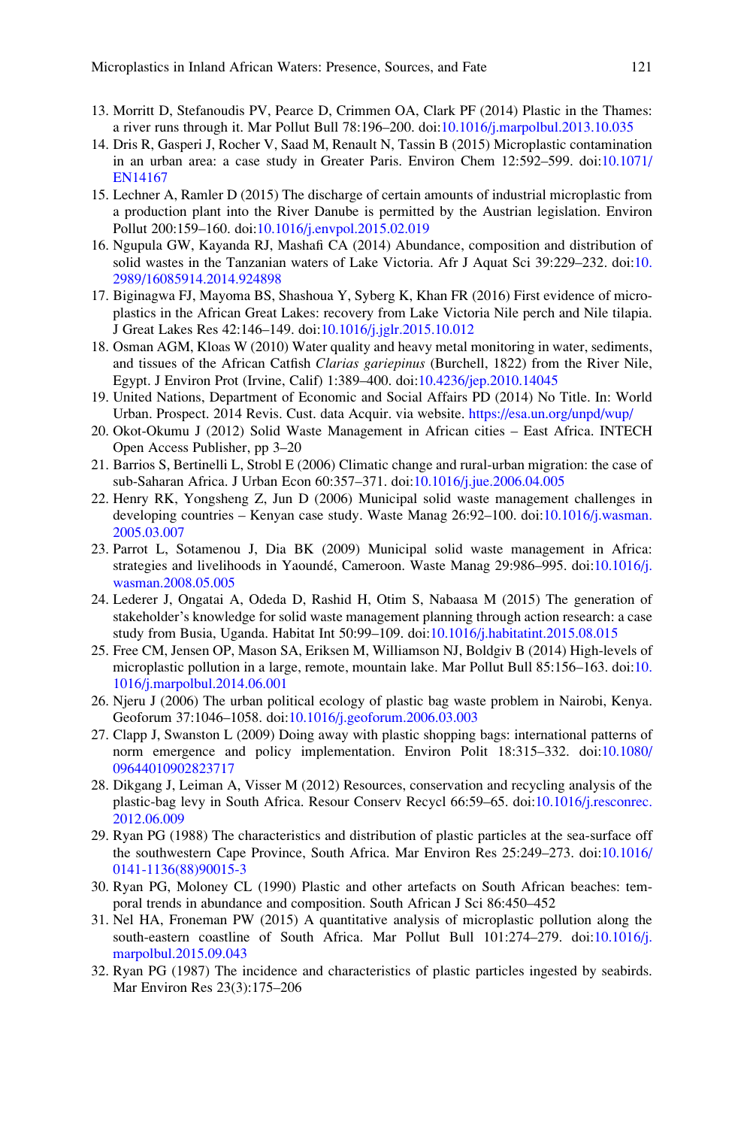- <span id="page-21-0"></span>13. Morritt D, Stefanoudis PV, Pearce D, Crimmen OA, Clark PF (2014) Plastic in the Thames: a river runs through it. Mar Pollut Bull 78:196–200. doi:[10.1016/j.marpolbul.2013.10.035](https://doi.org/10.1016/j.marpolbul.2013.10.035)
- <span id="page-21-1"></span>14. Dris R, Gasperi J, Rocher V, Saad M, Renault N, Tassin B (2015) Microplastic contamination in an urban area: a case study in Greater Paris. Environ Chem 12:592–599. doi:[10.1071/](https://doi.org/10.1071/EN14167) [EN14167](https://doi.org/10.1071/EN14167)
- <span id="page-21-2"></span>15. Lechner A, Ramler D (2015) The discharge of certain amounts of industrial microplastic from a production plant into the River Danube is permitted by the Austrian legislation. Environ Pollut 200:159–160. doi:[10.1016/j.envpol.2015.02.019](https://doi.org/10.1016/j.envpol.2015.02.019)
- <span id="page-21-3"></span>16. Ngupula GW, Kayanda RJ, Mashafi CA (2014) Abundance, composition and distribution of solid wastes in the Tanzanian waters of Lake Victoria. Afr J Aquat Sci 39:229–232. doi:[10.](https://doi.org/10.2989/16085914.2014.924898) [2989/16085914.2014.924898](https://doi.org/10.2989/16085914.2014.924898)
- <span id="page-21-4"></span>17. Biginagwa FJ, Mayoma BS, Shashoua Y, Syberg K, Khan FR (2016) First evidence of microplastics in the African Great Lakes: recovery from Lake Victoria Nile perch and Nile tilapia. J Great Lakes Res 42:146–149. doi:[10.1016/j.jglr.2015.10.012](https://doi.org/10.1016/j.jglr.2015.10.012)
- <span id="page-21-5"></span>18. Osman AGM, Kloas W (2010) Water quality and heavy metal monitoring in water, sediments, and tissues of the African Catfish Clarias gariepinus (Burchell, 1822) from the River Nile, Egypt. J Environ Prot (Irvine, Calif) 1:389–400. doi[:10.4236/jep.2010.14045](https://doi.org/10.4236/jep.2010.14045)
- <span id="page-21-6"></span>19. United Nations, Department of Economic and Social Affairs PD (2014) No Title. In: World Urban. Prospect. 2014 Revis. Cust. data Acquir. via website. <https://esa.un.org/unpd/wup/>
- <span id="page-21-7"></span>20. Okot-Okumu J (2012) Solid Waste Management in African cities – East Africa. INTECH Open Access Publisher, pp 3–20
- <span id="page-21-8"></span>21. Barrios S, Bertinelli L, Strobl E (2006) Climatic change and rural-urban migration: the case of sub-Saharan Africa. J Urban Econ 60:357–371. doi:[10.1016/j.jue.2006.04.005](https://doi.org/10.1016/j.jue.2006.04.005)
- <span id="page-21-9"></span>22. Henry RK, Yongsheng Z, Jun D (2006) Municipal solid waste management challenges in developing countries – Kenyan case study. Waste Manag 26:92–100. doi[:10.1016/j.wasman.](https://doi.org/10.1016/j.wasman.2005.03.007) [2005.03.007](https://doi.org/10.1016/j.wasman.2005.03.007)
- <span id="page-21-10"></span>23. Parrot L, Sotamenou J, Dia BK (2009) Municipal solid waste management in Africa: strategies and livelihoods in Yaoundé, Cameroon. Waste Manag 29:986–995. doi[:10.1016/j.](https://doi.org/10.1016/j.wasman.2008.05.005) [wasman.2008.05.005](https://doi.org/10.1016/j.wasman.2008.05.005)
- <span id="page-21-11"></span>24. Lederer J, Ongatai A, Odeda D, Rashid H, Otim S, Nabaasa M (2015) The generation of stakeholder's knowledge for solid waste management planning through action research: a case study from Busia, Uganda. Habitat Int 50:99–109. doi[:10.1016/j.habitatint.2015.08.015](https://doi.org/10.1016/j.habitatint.2015.08.015)
- <span id="page-21-12"></span>25. Free CM, Jensen OP, Mason SA, Eriksen M, Williamson NJ, Boldgiv B (2014) High-levels of microplastic pollution in a large, remote, mountain lake. Mar Pollut Bull 85:156–163. doi:[10.](https://doi.org/10.1016/j.marpolbul.2014.06.001) [1016/j.marpolbul.2014.06.001](https://doi.org/10.1016/j.marpolbul.2014.06.001)
- <span id="page-21-13"></span>26. Njeru J (2006) The urban political ecology of plastic bag waste problem in Nairobi, Kenya. Geoforum 37:1046–1058. doi:[10.1016/j.geoforum.2006.03.003](https://doi.org/10.1016/j.geoforum.2006.03.003)
- <span id="page-21-14"></span>27. Clapp J, Swanston L (2009) Doing away with plastic shopping bags: international patterns of norm emergence and policy implementation. Environ Polit 18:315–332. doi:[10.1080/](https://doi.org/10.1080/09644010902823717) [09644010902823717](https://doi.org/10.1080/09644010902823717)
- <span id="page-21-15"></span>28. Dikgang J, Leiman A, Visser M (2012) Resources, conservation and recycling analysis of the plastic-bag levy in South Africa. Resour Conserv Recycl 66:59–65. doi[:10.1016/j.resconrec.](https://doi.org/10.1016/j.resconrec.2012.06.009) [2012.06.009](https://doi.org/10.1016/j.resconrec.2012.06.009)
- <span id="page-21-16"></span>29. Ryan PG (1988) The characteristics and distribution of plastic particles at the sea-surface off the southwestern Cape Province, South Africa. Mar Environ Res 25:249–273. doi:[10.1016/](https://doi.org/10.1016/0141-1136(88)90015-3) [0141-1136\(88\)90015-3](https://doi.org/10.1016/0141-1136(88)90015-3)
- <span id="page-21-17"></span>30. Ryan PG, Moloney CL (1990) Plastic and other artefacts on South African beaches: temporal trends in abundance and composition. South African J Sci 86:450–452
- <span id="page-21-18"></span>31. Nel HA, Froneman PW (2015) A quantitative analysis of microplastic pollution along the south-eastern coastline of South Africa. Mar Pollut Bull 101:274–279. doi[:10.1016/j.](https://doi.org/10.1016/j.marpolbul.2015.09.043) [marpolbul.2015.09.043](https://doi.org/10.1016/j.marpolbul.2015.09.043)
- <span id="page-21-19"></span>32. Ryan PG (1987) The incidence and characteristics of plastic particles ingested by seabirds. Mar Environ Res 23(3):175–206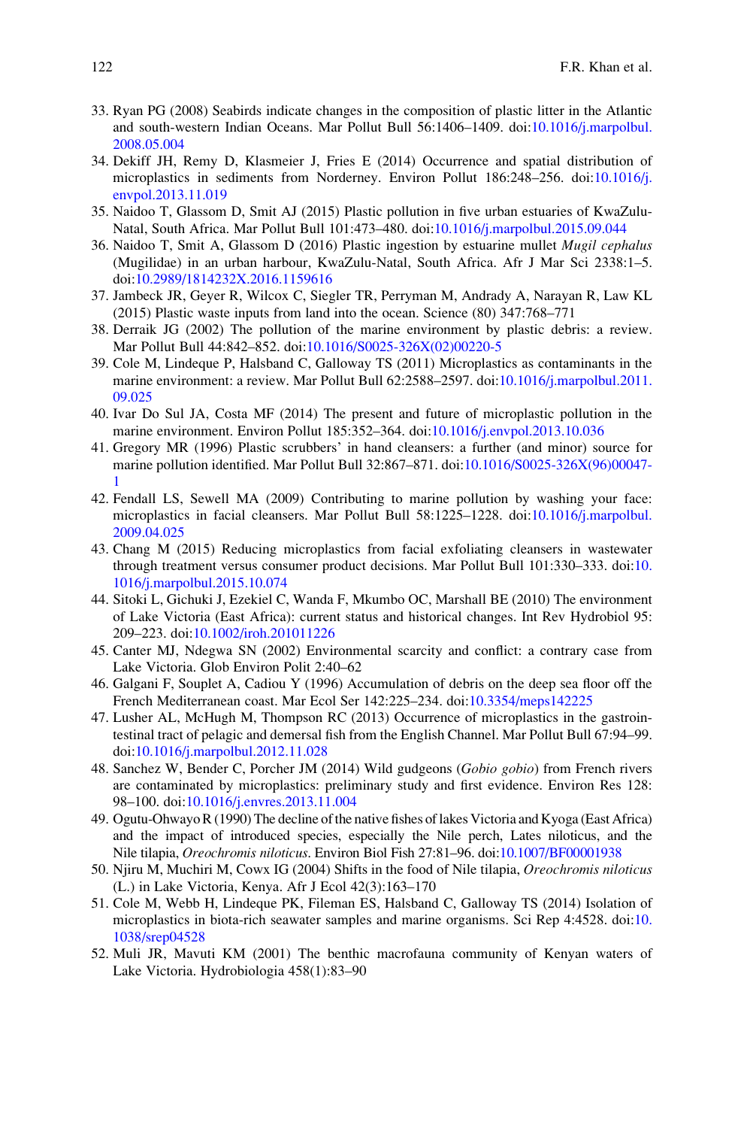- <span id="page-22-0"></span>33. Ryan PG (2008) Seabirds indicate changes in the composition of plastic litter in the Atlantic and south-western Indian Oceans. Mar Pollut Bull 56:1406–1409. doi[:10.1016/j.marpolbul.](https://doi.org/10.1016/j.marpolbul.2008.05.004) [2008.05.004](https://doi.org/10.1016/j.marpolbul.2008.05.004)
- <span id="page-22-1"></span>34. Dekiff JH, Remy D, Klasmeier J, Fries E (2014) Occurrence and spatial distribution of microplastics in sediments from Norderney. Environ Pollut 186:248–256. doi[:10.1016/j.](https://doi.org/10.1016/j.envpol.2013.11.019) [envpol.2013.11.019](https://doi.org/10.1016/j.envpol.2013.11.019)
- <span id="page-22-2"></span>35. Naidoo T, Glassom D, Smit AJ (2015) Plastic pollution in five urban estuaries of KwaZulu-Natal, South Africa. Mar Pollut Bull 101:473–480. doi:[10.1016/j.marpolbul.2015.09.044](https://doi.org/10.1016/j.marpolbul.2015.09.044)
- <span id="page-22-3"></span>36. Naidoo T, Smit A, Glassom D (2016) Plastic ingestion by estuarine mullet Mugil cephalus (Mugilidae) in an urban harbour, KwaZulu-Natal, South Africa. Afr J Mar Sci 2338:1–5. doi[:10.2989/1814232X.2016.1159616](https://doi.org/10.2989/1814232X.2016.1159616)
- <span id="page-22-4"></span>37. Jambeck JR, Geyer R, Wilcox C, Siegler TR, Perryman M, Andrady A, Narayan R, Law KL (2015) Plastic waste inputs from land into the ocean. Science (80) 347:768–771
- <span id="page-22-5"></span>38. Derraik JG (2002) The pollution of the marine environment by plastic debris: a review. Mar Pollut Bull 44:842–852. doi[:10.1016/S0025-326X\(02\)00220-5](https://doi.org/10.1016/S0025-326X(02)00220-5)
- 39. Cole M, Lindeque P, Halsband C, Galloway TS (2011) Microplastics as contaminants in the marine environment: a review. Mar Pollut Bull 62:2588–2597. doi:[10.1016/j.marpolbul.2011.](https://doi.org/10.1016/j.marpolbul.2011.09.025) [09.025](https://doi.org/10.1016/j.marpolbul.2011.09.025)
- <span id="page-22-6"></span>40. Ivar Do Sul JA, Costa MF (2014) The present and future of microplastic pollution in the marine environment. Environ Pollut 185:352–364. doi[:10.1016/j.envpol.2013.10.036](https://doi.org/10.1016/j.envpol.2013.10.036)
- <span id="page-22-7"></span>41. Gregory MR (1996) Plastic scrubbers' in hand cleansers: a further (and minor) source for marine pollution identified. Mar Pollut Bull 32:867–871. doi[:10.1016/S0025-326X\(96\)00047-](https://doi.org/10.1016/S0025-326X(96)00047-1) [1](https://doi.org/10.1016/S0025-326X(96)00047-1)
- 42. Fendall LS, Sewell MA (2009) Contributing to marine pollution by washing your face: microplastics in facial cleansers. Mar Pollut Bull 58:1225–1228. doi[:10.1016/j.marpolbul.](https://doi.org/10.1016/j.marpolbul.2009.04.025) [2009.04.025](https://doi.org/10.1016/j.marpolbul.2009.04.025)
- <span id="page-22-8"></span>43. Chang M (2015) Reducing microplastics from facial exfoliating cleansers in wastewater through treatment versus consumer product decisions. Mar Pollut Bull 101:330–333. doi:[10.](https://doi.org/10.1016/j.marpolbul.2015.10.074) [1016/j.marpolbul.2015.10.074](https://doi.org/10.1016/j.marpolbul.2015.10.074)
- <span id="page-22-9"></span>44. Sitoki L, Gichuki J, Ezekiel C, Wanda F, Mkumbo OC, Marshall BE (2010) The environment of Lake Victoria (East Africa): current status and historical changes. Int Rev Hydrobiol 95: 209–223. doi[:10.1002/iroh.201011226](https://doi.org/10.1002/iroh.201011226)
- <span id="page-22-10"></span>45. Canter MJ, Ndegwa SN (2002) Environmental scarcity and conflict: a contrary case from Lake Victoria. Glob Environ Polit 2:40–62
- <span id="page-22-11"></span>46. Galgani F, Souplet A, Cadiou Y (1996) Accumulation of debris on the deep sea floor off the French Mediterranean coast. Mar Ecol Ser 142:225–234. doi[:10.3354/meps142225](https://doi.org/10.3354/meps142225)
- <span id="page-22-12"></span>47. Lusher AL, McHugh M, Thompson RC (2013) Occurrence of microplastics in the gastrointestinal tract of pelagic and demersal fish from the English Channel. Mar Pollut Bull 67:94–99. doi[:10.1016/j.marpolbul.2012.11.028](https://doi.org/10.1016/j.marpolbul.2012.11.028)
- <span id="page-22-13"></span>48. Sanchez W, Bender C, Porcher JM (2014) Wild gudgeons (Gobio gobio) from French rivers are contaminated by microplastics: preliminary study and first evidence. Environ Res 128: 98–100. doi:[10.1016/j.envres.2013.11.004](https://doi.org/10.1016/j.envres.2013.11.004)
- <span id="page-22-14"></span>49. Ogutu-Ohwayo R (1990) The decline of the native fishes of lakes Victoria and Kyoga (East Africa) and the impact of introduced species, especially the Nile perch, Lates niloticus, and the Nile tilapia, Oreochromis niloticus. Environ Biol Fish 27:81–96. doi[:10.1007/BF00001938](https://doi.org/10.1007/BF00001938)
- <span id="page-22-15"></span>50. Njiru M, Muchiri M, Cowx IG (2004) Shifts in the food of Nile tilapia, Oreochromis niloticus (L.) in Lake Victoria, Kenya. Afr J Ecol 42(3):163–170
- <span id="page-22-16"></span>51. Cole M, Webb H, Lindeque PK, Fileman ES, Halsband C, Galloway TS (2014) Isolation of microplastics in biota-rich seawater samples and marine organisms. Sci Rep 4:4528. doi:[10.](https://doi.org/10.1038/srep04528) [1038/srep04528](https://doi.org/10.1038/srep04528)
- <span id="page-22-17"></span>52. Muli JR, Mavuti KM (2001) The benthic macrofauna community of Kenyan waters of Lake Victoria. Hydrobiologia 458(1):83–90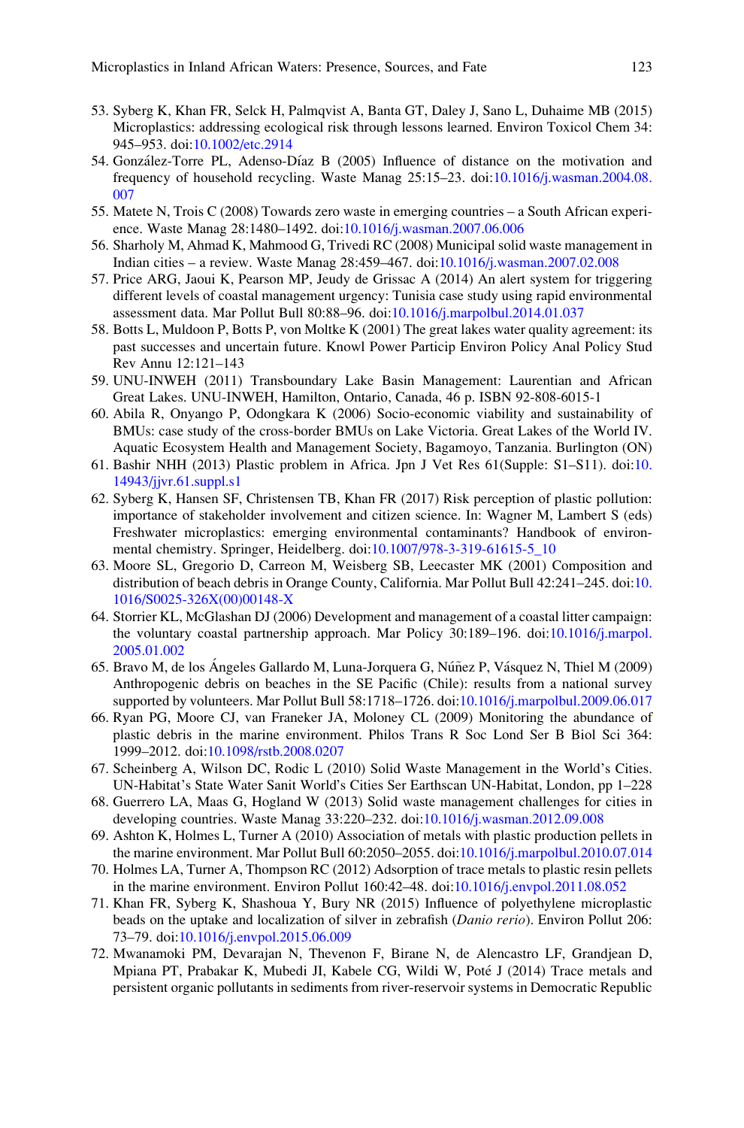- <span id="page-23-0"></span>53. Syberg K, Khan FR, Selck H, Palmqvist A, Banta GT, Daley J, Sano L, Duhaime MB (2015) Microplastics: addressing ecological risk through lessons learned. Environ Toxicol Chem 34: 945–953. doi[:10.1002/etc.2914](https://doi.org/10.1002/etc.2914)
- <span id="page-23-1"></span>54. González-Torre PL, Adenso-Díaz B (2005) Influence of distance on the motivation and frequency of household recycling. Waste Manag 25:15–23. doi:[10.1016/j.wasman.2004.08.](https://doi.org/10.1016/j.wasman.2004.08.007) [007](https://doi.org/10.1016/j.wasman.2004.08.007)
- <span id="page-23-2"></span>55. Matete N, Trois C (2008) Towards zero waste in emerging countries – a South African experience. Waste Manag 28:1480–1492. doi[:10.1016/j.wasman.2007.06.006](https://doi.org/10.1016/j.wasman.2007.06.006)
- <span id="page-23-3"></span>56. Sharholy M, Ahmad K, Mahmood G, Trivedi RC (2008) Municipal solid waste management in Indian cities – a review. Waste Manag 28:459–467. doi[:10.1016/j.wasman.2007.02.008](https://doi.org/10.1016/j.wasman.2007.02.008)
- <span id="page-23-4"></span>57. Price ARG, Jaoui K, Pearson MP, Jeudy de Grissac A (2014) An alert system for triggering different levels of coastal management urgency: Tunisia case study using rapid environmental assessment data. Mar Pollut Bull 80:88–96. doi[:10.1016/j.marpolbul.2014.01.037](https://doi.org/10.1016/j.marpolbul.2014.01.037)
- <span id="page-23-5"></span>58. Botts L, Muldoon P, Botts P, von Moltke K (2001) The great lakes water quality agreement: its past successes and uncertain future. Knowl Power Particip Environ Policy Anal Policy Stud Rev Annu 12:121–143
- <span id="page-23-6"></span>59. UNU-INWEH (2011) Transboundary Lake Basin Management: Laurentian and African Great Lakes. UNU-INWEH, Hamilton, Ontario, Canada, 46 p. ISBN 92-808-6015-1
- <span id="page-23-7"></span>60. Abila R, Onyango P, Odongkara K (2006) Socio-economic viability and sustainability of BMUs: case study of the cross-border BMUs on Lake Victoria. Great Lakes of the World IV. Aquatic Ecosystem Health and Management Society, Bagamoyo, Tanzania. Burlington (ON)
- <span id="page-23-8"></span>61. Bashir NHH (2013) Plastic problem in Africa. Jpn J Vet Res 61(Supple: S1–S11). doi:[10.](https://doi.org/10.14943/jjvr.61.suppl.s1) [14943/jjvr.61.suppl.s1](https://doi.org/10.14943/jjvr.61.suppl.s1)
- <span id="page-23-9"></span>62. Syberg K, Hansen SF, Christensen TB, Khan FR (2017) Risk perception of plastic pollution: importance of stakeholder involvement and citizen science. In: Wagner M, Lambert S (eds) Freshwater microplastics: emerging environmental contaminants? Handbook of environmental chemistry. Springer, Heidelberg. doi:[10.1007/978-3-319-61615-5\\_10](https://doi.org/10.1007/978-3-319-61615-5_10)
- <span id="page-23-10"></span>63. Moore SL, Gregorio D, Carreon M, Weisberg SB, Leecaster MK (2001) Composition and distribution of beach debris in Orange County, California. Mar Pollut Bull 42:241–245. doi:[10.](https://doi.org/10.1016/S0025-326X(00)00148-X) [1016/S0025-326X\(00\)00148-X](https://doi.org/10.1016/S0025-326X(00)00148-X)
- <span id="page-23-11"></span>64. Storrier KL, McGlashan DJ (2006) Development and management of a coastal litter campaign: the voluntary coastal partnership approach. Mar Policy 30:189–196. doi:[10.1016/j.marpol.](https://doi.org/10.1016/j.marpol.2005.01.002) [2005.01.002](https://doi.org/10.1016/j.marpol.2005.01.002)
- <span id="page-23-12"></span>65. Bravo M, de los Ángeles Gallardo M, Luna-Jorquera G, Núñez P, Vásquez N, Thiel M (2009) Anthropogenic debris on beaches in the SE Pacific (Chile): results from a national survey supported by volunteers. Mar Pollut Bull 58:1718–1726. doi:[10.1016/j.marpolbul.2009.06.017](https://doi.org/10.1016/j.marpolbul.2009.06.017)
- <span id="page-23-13"></span>66. Ryan PG, Moore CJ, van Franeker JA, Moloney CL (2009) Monitoring the abundance of plastic debris in the marine environment. Philos Trans R Soc Lond Ser B Biol Sci 364: 1999–2012. doi:[10.1098/rstb.2008.0207](https://doi.org/10.1098/rstb.2008.0207)
- <span id="page-23-14"></span>67. Scheinberg A, Wilson DC, Rodic L (2010) Solid Waste Management in the World's Cities. UN-Habitat's State Water Sanit World's Cities Ser Earthscan UN-Habitat, London, pp 1–228
- <span id="page-23-15"></span>68. Guerrero LA, Maas G, Hogland W (2013) Solid waste management challenges for cities in developing countries. Waste Manag 33:220–232. doi[:10.1016/j.wasman.2012.09.008](https://doi.org/10.1016/j.wasman.2012.09.008)
- <span id="page-23-16"></span>69. Ashton K, Holmes L, Turner A (2010) Association of metals with plastic production pellets in the marine environment. Mar Pollut Bull 60:2050–2055. doi:[10.1016/j.marpolbul.2010.07.014](https://doi.org/10.1016/j.marpolbul.2010.07.014)
- <span id="page-23-17"></span>70. Holmes LA, Turner A, Thompson RC (2012) Adsorption of trace metals to plastic resin pellets in the marine environment. Environ Pollut 160:42–48. doi[:10.1016/j.envpol.2011.08.052](https://doi.org/10.1016/j.envpol.2011.08.052)
- <span id="page-23-18"></span>71. Khan FR, Syberg K, Shashoua Y, Bury NR (2015) Influence of polyethylene microplastic beads on the uptake and localization of silver in zebrafish (Danio rerio). Environ Pollut 206: 73–79. doi:[10.1016/j.envpol.2015.06.009](https://doi.org/10.1016/j.envpol.2015.06.009)
- <span id="page-23-19"></span>72. Mwanamoki PM, Devarajan N, Thevenon F, Birane N, de Alencastro LF, Grandjean D, Mpiana PT, Prabakar K, Mubedi JI, Kabele CG, Wildi W, Pote´ J (2014) Trace metals and persistent organic pollutants in sediments from river-reservoir systems in Democratic Republic